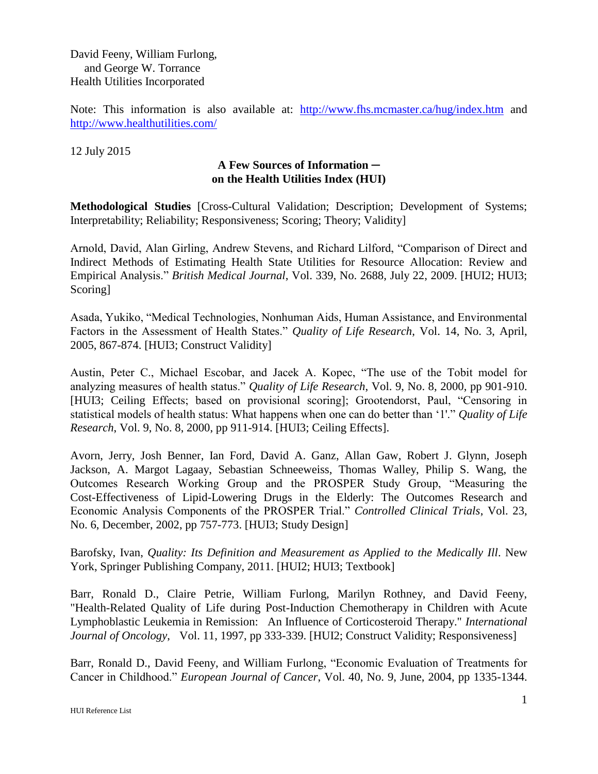David Feeny, William Furlong, and George W. Torrance Health Utilities Incorporated

Note: This information is also available at: <http://www.fhs.mcmaster.ca/hug/index.htm> and <http://www.healthutilities.com/>

12 July 2015

## **A Few Sources of Information ─ on the Health Utilities Index (HUI)**

**Methodological Studies** [Cross-Cultural Validation; Description; Development of Systems; Interpretability; Reliability; Responsiveness; Scoring; Theory; Validity]

Arnold, David, Alan Girling, Andrew Stevens, and Richard Lilford, "Comparison of Direct and Indirect Methods of Estimating Health State Utilities for Resource Allocation: Review and Empirical Analysis." *British Medical Journal*, Vol. 339, No. 2688, July 22, 2009. [HUI2; HUI3; Scoring]

Asada, Yukiko, "Medical Technologies, Nonhuman Aids, Human Assistance, and Environmental Factors in the Assessment of Health States." *Quality of Life Research*, Vol. 14, No. 3, April, 2005, 867-874. [HUI3; Construct Validity]

Austin, Peter C., Michael Escobar, and Jacek A. Kopec, "The use of the Tobit model for analyzing measures of health status." *Quality of Life Research*, Vol. 9, No. 8, 2000, pp 901-910. [HUI3; Ceiling Effects; based on provisional scoring]; Grootendorst, Paul, "Censoring in statistical models of health status: What happens when one can do better than '1'." *Quality of Life Research*, Vol. 9, No. 8, 2000, pp 911-914. [HUI3; Ceiling Effects].

Avorn, Jerry, Josh Benner, Ian Ford, David A. Ganz, Allan Gaw, Robert J. Glynn, Joseph Jackson, A. Margot Lagaay, Sebastian Schneeweiss, Thomas Walley, Philip S. Wang, the Outcomes Research Working Group and the PROSPER Study Group, "Measuring the Cost-Effectiveness of Lipid-Lowering Drugs in the Elderly: The Outcomes Research and Economic Analysis Components of the PROSPER Trial." *Controlled Clinical Trials*, Vol. 23, No. 6, December, 2002, pp 757-773. [HUI3; Study Design]

Barofsky, Ivan, *Quality: Its Definition and Measurement as Applied to the Medically Ill*. New York, Springer Publishing Company, 2011. [HUI2; HUI3; Textbook]

Barr, Ronald D., Claire Petrie, William Furlong, Marilyn Rothney, and David Feeny, "Health-Related Quality of Life during Post-Induction Chemotherapy in Children with Acute Lymphoblastic Leukemia in Remission: An Influence of Corticosteroid Therapy." *International Journal of Oncology*, Vol. 11, 1997, pp 333-339. [HUI2; Construct Validity; Responsiveness]

Barr, Ronald D., David Feeny, and William Furlong, "Economic Evaluation of Treatments for Cancer in Childhood." *European Journal of Cancer*, Vol. 40, No. 9, June, 2004, pp 1335-1344.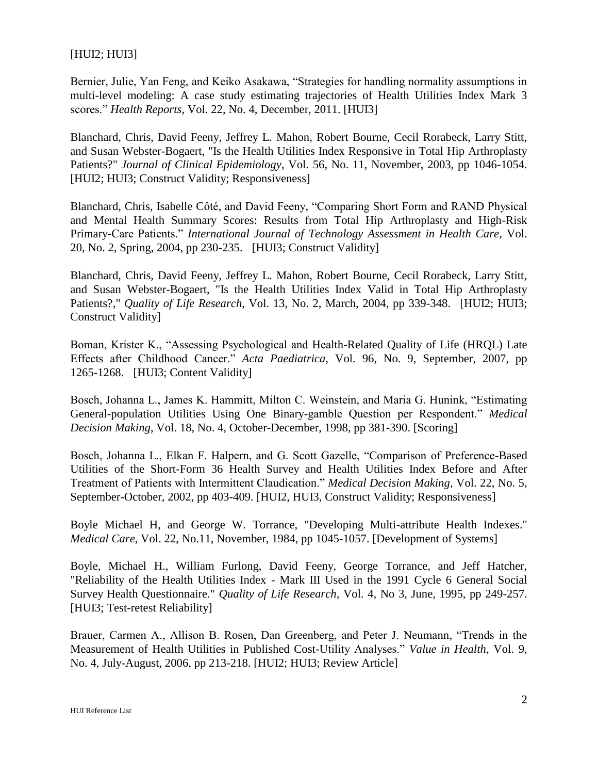## [HUI2; HUI3]

Bernier, Julie, Yan Feng, and Keiko Asakawa, "Strategies for handling normality assumptions in multi-level modeling: A case study estimating trajectories of Health Utilities Index Mark 3 scores." *Health Reports*, Vol. 22, No. 4, December, 2011. [HUI3]

Blanchard, Chris, David Feeny, Jeffrey L. Mahon, Robert Bourne, Cecil Rorabeck, Larry Stitt, and Susan Webster-Bogaert, "Is the Health Utilities Index Responsive in Total Hip Arthroplasty Patients?" *Journal of Clinical Epidemiology*, Vol. 56, No. 11, November, 2003, pp 1046-1054. [HUI2; HUI3; Construct Validity; Responsiveness]

Blanchard, Chris, Isabelle Côté, and David Feeny, "Comparing Short Form and RAND Physical and Mental Health Summary Scores: Results from Total Hip Arthroplasty and High-Risk Primary-Care Patients." *International Journal of Technology Assessment in Health Care*, Vol. 20, No. 2, Spring, 2004, pp 230-235. [HUI3; Construct Validity]

Blanchard, Chris, David Feeny, Jeffrey L. Mahon, Robert Bourne, Cecil Rorabeck, Larry Stitt, and Susan Webster-Bogaert, "Is the Health Utilities Index Valid in Total Hip Arthroplasty Patients?," *Quality of Life Research*, Vol. 13, No. 2, March, 2004, pp 339-348. [HUI2; HUI3; Construct Validity]

Boman, Krister K., "Assessing Psychological and Health-Related Quality of Life (HRQL) Late Effects after Childhood Cancer." *Acta Paediatrica*, Vol. 96, No. 9, September, 2007, pp 1265-1268. [HUI3; Content Validity]

Bosch, Johanna L., James K. Hammitt, Milton C. Weinstein, and Maria G. Hunink, "Estimating General-population Utilities Using One Binary-gamble Question per Respondent." *Medical Decision Making*, Vol. 18, No. 4, October-December, 1998, pp 381-390. [Scoring]

Bosch, Johanna L., Elkan F. Halpern, and G. Scott Gazelle, "Comparison of Preference-Based Utilities of the Short-Form 36 Health Survey and Health Utilities Index Before and After Treatment of Patients with Intermittent Claudication." *Medical Decision Making*, Vol. 22, No. 5, September-October, 2002, pp 403-409. [HUI2, HUI3, Construct Validity; Responsiveness]

Boyle Michael H, and George W. Torrance, "Developing Multi-attribute Health Indexes." *Medical Care*, Vol. 22, No.11, November, 1984, pp 1045-1057. [Development of Systems]

Boyle, Michael H., William Furlong, David Feeny, George Torrance, and Jeff Hatcher, "Reliability of the Health Utilities Index - Mark III Used in the 1991 Cycle 6 General Social Survey Health Questionnaire." *Quality of Life Research,* Vol. 4, No 3, June, 1995, pp 249-257. [HUI3; Test-retest Reliability]

Brauer, Carmen A., Allison B. Rosen, Dan Greenberg, and Peter J. Neumann, "Trends in the Measurement of Health Utilities in Published Cost-Utility Analyses." *Value in Health*, Vol. 9, No. 4, July-August, 2006, pp 213-218. [HUI2; HUI3; Review Article]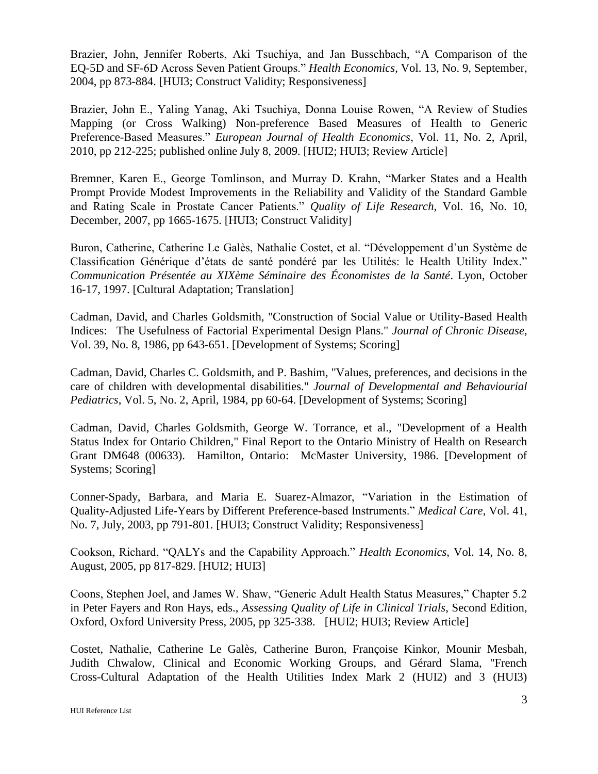Brazier, John, Jennifer Roberts, Aki Tsuchiya, and Jan Busschbach, "A Comparison of the EQ-5D and SF-6D Across Seven Patient Groups." *Health Economics*, Vol. 13, No. 9, September, 2004, pp 873-884. [HUI3; Construct Validity; Responsiveness]

Brazier, John E., Yaling Yanag, Aki Tsuchiya, Donna Louise Rowen, "A Review of Studies Mapping (or Cross Walking) Non-preference Based Measures of Health to Generic Preference-Based Measures." *European Journal of Health Economics*, Vol. 11, No. 2, April, 2010, pp 212-225; published online July 8, 2009. [HUI2; HUI3; Review Article]

Bremner, Karen E., George Tomlinson, and Murray D. Krahn, "Marker States and a Health Prompt Provide Modest Improvements in the Reliability and Validity of the Standard Gamble and Rating Scale in Prostate Cancer Patients." *Quality of Life Research*, Vol. 16, No. 10, December, 2007, pp 1665-1675. [HUI3; Construct Validity]

Buron, Catherine, Catherine Le Galès, Nathalie Costet, et al. "Développement d'un Système de Classification Générique d'états de santé pondéré par les Utilités: le Health Utility Index." *Communication Présentée au XIXème Séminaire des Économistes de la Santé*. Lyon, October 16-17, 1997. [Cultural Adaptation; Translation]

Cadman, David, and Charles Goldsmith, "Construction of Social Value or Utility-Based Health Indices: The Usefulness of Factorial Experimental Design Plans." *Journal of Chronic Disease,*  Vol. 39, No. 8, 1986, pp 643-651. [Development of Systems; Scoring]

Cadman, David, Charles C. Goldsmith, and P. Bashim, "Values, preferences, and decisions in the care of children with developmental disabilities." *Journal of Developmental and Behaviourial Pediatrics*, Vol. 5, No. 2, April, 1984, pp 60-64. [Development of Systems; Scoring]

Cadman, David, Charles Goldsmith, George W. Torrance, et al., "Development of a Health Status Index for Ontario Children," Final Report to the Ontario Ministry of Health on Research Grant DM648 (00633). Hamilton, Ontario: McMaster University, 1986. [Development of Systems; Scoring]

Conner-Spady, Barbara, and Maria E. Suarez-Almazor, "Variation in the Estimation of Quality-Adjusted Life-Years by Different Preference-based Instruments." *Medical Care*, Vol. 41, No. 7, July, 2003, pp 791-801. [HUI3; Construct Validity; Responsiveness]

Cookson, Richard, "QALYs and the Capability Approach." *Health Economics*, Vol. 14, No. 8, August, 2005, pp 817-829. [HUI2; HUI3]

Coons, Stephen Joel, and James W. Shaw, "Generic Adult Health Status Measures," Chapter 5.2 in Peter Fayers and Ron Hays, eds., *Assessing Quality of Life in Clinical Trials*, Second Edition, Oxford, Oxford University Press, 2005, pp 325-338. [HUI2; HUI3; Review Article]

Costet, Nathalie, Catherine Le Galès, Catherine Buron, Françoise Kinkor, Mounir Mesbah, Judith Chwalow, Clinical and Economic Working Groups, and Gérard Slama, "French Cross-Cultural Adaptation of the Health Utilities Index Mark 2 (HUI2) and 3 (HUI3)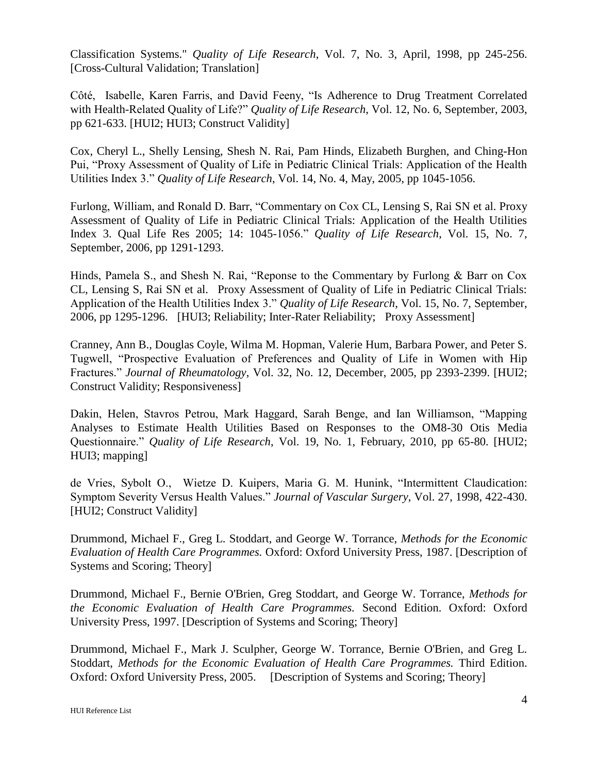Classification Systems." *Quality of Life Research*, Vol. 7, No. 3, April, 1998, pp 245-256. [Cross-Cultural Validation; Translation]

Côté, Isabelle, Karen Farris, and David Feeny, "Is Adherence to Drug Treatment Correlated with Health-Related Quality of Life?" *Quality of Life Research*, Vol. 12, No. 6, September, 2003, pp 621-633. [HUI2; HUI3; Construct Validity]

Cox, Cheryl L., Shelly Lensing, Shesh N. Rai, Pam Hinds, Elizabeth Burghen, and Ching-Hon Pui, "Proxy Assessment of Quality of Life in Pediatric Clinical Trials: Application of the Health Utilities Index 3." *Quality of Life Research*, Vol. 14, No. 4, May, 2005, pp 1045-1056.

Furlong, William, and Ronald D. Barr, "Commentary on Cox CL, Lensing S, Rai SN et al. Proxy Assessment of Quality of Life in Pediatric Clinical Trials: Application of the Health Utilities Index 3. Qual Life Res 2005; 14: 1045-1056." *Quality of Life Research*, Vol. 15, No. 7, September, 2006, pp 1291-1293.

Hinds, Pamela S., and Shesh N. Rai, "Reponse to the Commentary by Furlong & Barr on Cox CL, Lensing S, Rai SN et al. Proxy Assessment of Quality of Life in Pediatric Clinical Trials: Application of the Health Utilities Index 3." *Quality of Life Research*, Vol. 15, No. 7, September, 2006, pp 1295-1296. [HUI3; Reliability; Inter-Rater Reliability; Proxy Assessment]

Cranney, Ann B., Douglas Coyle, Wilma M. Hopman, Valerie Hum, Barbara Power, and Peter S. Tugwell, "Prospective Evaluation of Preferences and Quality of Life in Women with Hip Fractures." *Journal of Rheumatology*, Vol. 32, No. 12, December, 2005, pp 2393-2399. [HUI2; Construct Validity; Responsiveness]

Dakin, Helen, Stavros Petrou, Mark Haggard, Sarah Benge, and Ian Williamson, "Mapping Analyses to Estimate Health Utilities Based on Responses to the OM8-30 Otis Media Questionnaire." *Quality of Life Research*, Vol. 19, No. 1, February, 2010, pp 65-80. [HUI2; HUI3; mapping]

de Vries, Sybolt O., Wietze D. Kuipers, Maria G. M. Hunink, "Intermittent Claudication: Symptom Severity Versus Health Values." *Journal of Vascular Surgery*, Vol. 27, 1998, 422-430. [HUI2; Construct Validity]

Drummond, Michael F., Greg L. Stoddart, and George W. Torrance, *Methods for the Economic Evaluation of Health Care Programmes.* Oxford: Oxford University Press, 1987. [Description of Systems and Scoring; Theory]

Drummond, Michael F., Bernie O'Brien, Greg Stoddart, and George W. Torrance, *Methods for the Economic Evaluation of Health Care Programmes.* Second Edition. Oxford: Oxford University Press, 1997. [Description of Systems and Scoring; Theory]

Drummond, Michael F., Mark J. Sculpher, George W. Torrance, Bernie O'Brien, and Greg L. Stoddart, *Methods for the Economic Evaluation of Health Care Programmes.* Third Edition. Oxford: Oxford University Press, 2005. [Description of Systems and Scoring; Theory]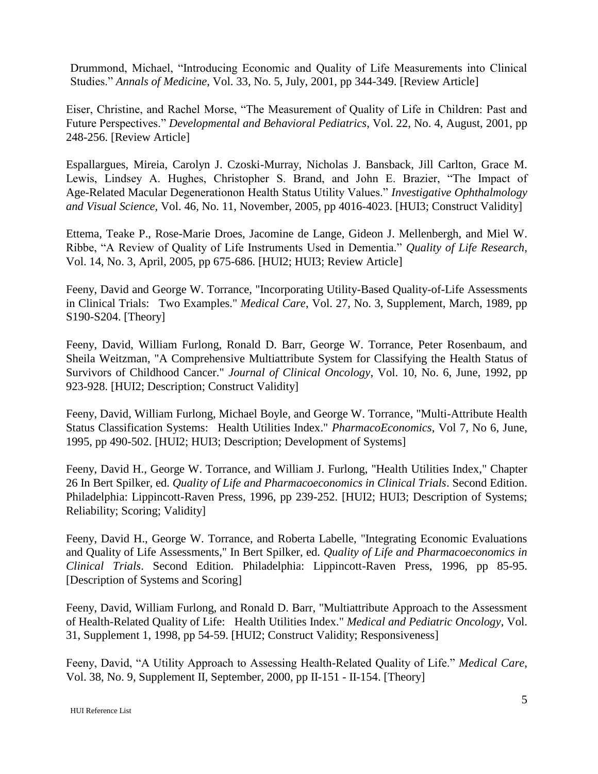Drummond, Michael, "Introducing Economic and Quality of Life Measurements into Clinical Studies." *Annals of Medicine*, Vol. 33, No. 5, July, 2001, pp 344-349. [Review Article]

Eiser, Christine, and Rachel Morse, "The Measurement of Quality of Life in Children: Past and Future Perspectives." *Developmental and Behavioral Pediatrics*, Vol. 22, No. 4, August, 2001, pp 248-256. [Review Article]

Espallargues, Mireia, Carolyn J. Czoski-Murray, Nicholas J. Bansback, Jill Carlton, Grace M. Lewis, Lindsey A. Hughes, Christopher S. Brand, and John E. Brazier, "The Impact of Age-Related Macular Degenerationon Health Status Utility Values." *Investigative Ophthalmology and Visual Science*, Vol. 46, No. 11, November, 2005, pp 4016-4023. [HUI3; Construct Validity]

Ettema, Teake P., Rose-Marie Droes, Jacomine de Lange, Gideon J. Mellenbergh, and Miel W. Ribbe, "A Review of Quality of Life Instruments Used in Dementia." *Quality of Life Research*, Vol. 14, No. 3, April, 2005, pp 675-686. [HUI2; HUI3; Review Article]

Feeny, David and George W. Torrance, "Incorporating Utility-Based Quality-of-Life Assessments in Clinical Trials: Two Examples." *Medical Care*, Vol. 27, No. 3, Supplement, March, 1989, pp S190-S204. [Theory]

Feeny, David, William Furlong, Ronald D. Barr, George W. Torrance, Peter Rosenbaum, and Sheila Weitzman, "A Comprehensive Multiattribute System for Classifying the Health Status of Survivors of Childhood Cancer." *Journal of Clinical Oncology*, Vol. 10, No. 6, June, 1992, pp 923-928. [HUI2; Description; Construct Validity]

Feeny, David, William Furlong, Michael Boyle, and George W. Torrance, "Multi-Attribute Health Status Classification Systems: Health Utilities Index." *PharmacoEconomics*, Vol 7, No 6, June, 1995, pp 490-502. [HUI2; HUI3; Description; Development of Systems]

Feeny, David H., George W. Torrance, and William J. Furlong, "Health Utilities Index," Chapter 26 In Bert Spilker, ed. *Quality of Life and Pharmacoeconomics in Clinical Trials*. Second Edition. Philadelphia: Lippincott-Raven Press, 1996, pp 239-252. [HUI2; HUI3; Description of Systems; Reliability; Scoring; Validity]

Feeny, David H., George W. Torrance, and Roberta Labelle, "Integrating Economic Evaluations and Quality of Life Assessments," In Bert Spilker, ed. *Quality of Life and Pharmacoeconomics in Clinical Trials*. Second Edition. Philadelphia: Lippincott-Raven Press, 1996, pp 85-95. [Description of Systems and Scoring]

Feeny, David, William Furlong, and Ronald D. Barr, "Multiattribute Approach to the Assessment of Health-Related Quality of Life: Health Utilities Index." *Medical and Pediatric Oncology*, Vol. 31, Supplement 1, 1998, pp 54-59. [HUI2; Construct Validity; Responsiveness]

Feeny, David, "A Utility Approach to Assessing Health-Related Quality of Life." *Medical Care*, Vol. 38, No. 9, Supplement II, September, 2000, pp II-151 - II-154. [Theory]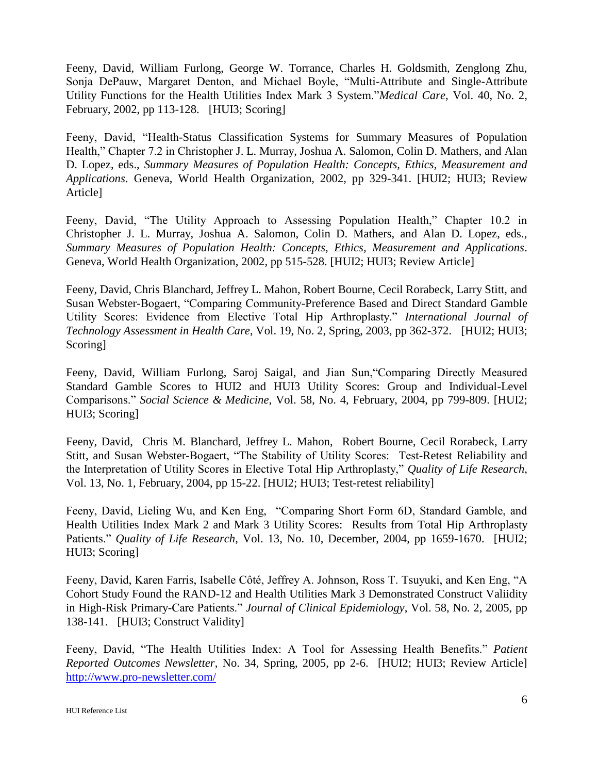Feeny, David, William Furlong, George W. Torrance, Charles H. Goldsmith, Zenglong Zhu, Sonja DePauw, Margaret Denton, and Michael Boyle, "Multi-Attribute and Single-Attribute Utility Functions for the Health Utilities Index Mark 3 System."*Medical Care*, Vol. 40, No. 2, February, 2002, pp 113-128. [HUI3; Scoring]

Feeny, David, "Health-Status Classification Systems for Summary Measures of Population Health," Chapter 7.2 in Christopher J. L. Murray, Joshua A. Salomon, Colin D. Mathers, and Alan D. Lopez, eds., *Summary Measures of Population Health: Concepts, Ethics, Measurement and Applications*. Geneva, World Health Organization, 2002, pp 329-341. [HUI2; HUI3; Review Article]

Feeny, David, "The Utility Approach to Assessing Population Health," Chapter 10.2 in Christopher J. L. Murray, Joshua A. Salomon, Colin D. Mathers, and Alan D. Lopez, eds., *Summary Measures of Population Health: Concepts, Ethics, Measurement and Applications*. Geneva, World Health Organization, 2002, pp 515-528. [HUI2; HUI3; Review Article]

Feeny, David, Chris Blanchard, Jeffrey L. Mahon, Robert Bourne, Cecil Rorabeck, Larry Stitt, and Susan Webster-Bogaert, "Comparing Community-Preference Based and Direct Standard Gamble Utility Scores: Evidence from Elective Total Hip Arthroplasty." *International Journal of Technology Assessment in Health Care*, Vol. 19, No. 2, Spring, 2003, pp 362-372. [HUI2; HUI3; Scoring]

Feeny, David, William Furlong, Saroj Saigal, and Jian Sun,"Comparing Directly Measured Standard Gamble Scores to HUI2 and HUI3 Utility Scores: Group and Individual-Level Comparisons." *Social Science & Medicine*, Vol. 58, No. 4, February, 2004, pp 799-809. [HUI2; HUI3; Scoring]

Feeny, David, Chris M. Blanchard, Jeffrey L. Mahon, Robert Bourne, Cecil Rorabeck, Larry Stitt, and Susan Webster-Bogaert, "The Stability of Utility Scores: Test-Retest Reliability and the Interpretation of Utility Scores in Elective Total Hip Arthroplasty," *Quality of Life Research*, Vol. 13, No. 1, February, 2004, pp 15-22. [HUI2; HUI3; Test-retest reliability]

Feeny, David, Lieling Wu, and Ken Eng, "Comparing Short Form 6D, Standard Gamble, and Health Utilities Index Mark 2 and Mark 3 Utility Scores: Results from Total Hip Arthroplasty Patients." *Quality of Life Research*, Vol. 13, No. 10, December, 2004, pp 1659-1670. [HUI2; HUI3; Scoring]

Feeny, David, Karen Farris, Isabelle Côté, Jeffrey A. Johnson, Ross T. Tsuyuki, and Ken Eng, "A Cohort Study Found the RAND-12 and Health Utilities Mark 3 Demonstrated Construct Valiidity in High-Risk Primary-Care Patients." *Journal of Clinical Epidemiology*, Vol. 58, No. 2, 2005, pp 138-141. [HUI3; Construct Validity]

Feeny, David, "The Health Utilities Index: A Tool for Assessing Health Benefits." *Patient Reported Outcomes Newsletter*, No. 34, Spring, 2005, pp 2-6. [HUI2; HUI3; Review Article] <http://www.pro-newsletter.com/>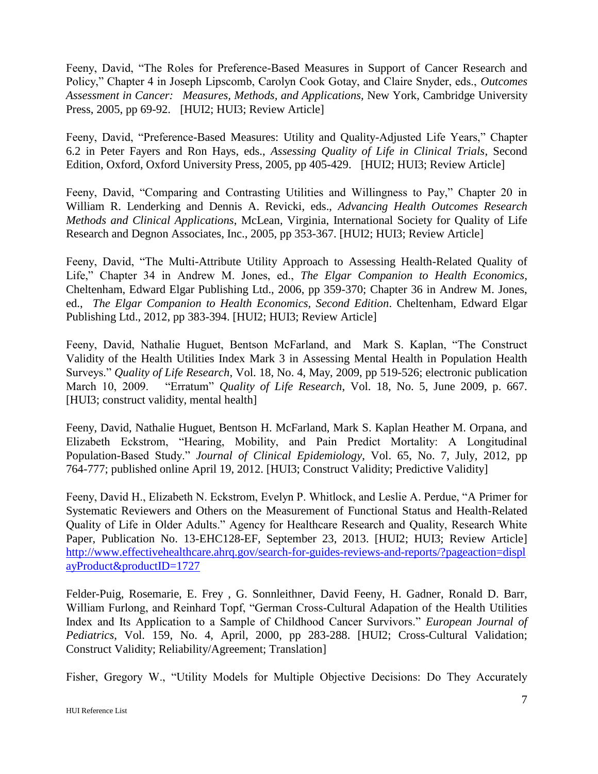Feeny, David, "The Roles for Preference-Based Measures in Support of Cancer Research and Policy," Chapter 4 in Joseph Lipscomb, Carolyn Cook Gotay, and Claire Snyder, eds., *Outcomes Assessment in Cancer: Measures, Methods, and Applications,* New York, Cambridge University Press, 2005, pp 69-92. [HUI2; HUI3; Review Article]

Feeny, David, "Preference-Based Measures: Utility and Quality-Adjusted Life Years," Chapter 6.2 in Peter Fayers and Ron Hays, eds., *Assessing Quality of Life in Clinical Trials*, Second Edition, Oxford, Oxford University Press, 2005, pp 405-429. [HUI2; HUI3; Review Article]

Feeny, David, "Comparing and Contrasting Utilities and Willingness to Pay," Chapter 20 in William R. Lenderking and Dennis A. Revicki, eds., *Advancing Health Outcomes Research Methods and Clinical Applications*, McLean, Virginia, International Society for Quality of Life Research and Degnon Associates, Inc., 2005, pp 353-367. [HUI2; HUI3; Review Article]

Feeny, David, "The Multi-Attribute Utility Approach to Assessing Health-Related Quality of Life," Chapter 34 in Andrew M. Jones, ed., *The Elgar Companion to Health Economics*, Cheltenham, Edward Elgar Publishing Ltd., 2006, pp 359-370; Chapter 36 in Andrew M. Jones, ed., *The Elgar Companion to Health Economics, Second Edition*. Cheltenham, Edward Elgar Publishing Ltd., 2012, pp 383-394. [HUI2; HUI3; Review Article]

Feeny, David, Nathalie Huguet, Bentson McFarland, and Mark S. Kaplan, "The Construct Validity of the Health Utilities Index Mark 3 in Assessing Mental Health in Population Health Surveys." *Quality of Life Research*, Vol. 18, No. 4, May, 2009, pp 519-526; electronic publication March 10, 2009. "Erratum" *Quality of Life Research*, Vol. 18, No. 5, June 2009, p. 667. [HUI3; construct validity, mental health]

Feeny, David, Nathalie Huguet, Bentson H. McFarland, Mark S. Kaplan Heather M. Orpana, and Elizabeth Eckstrom, "Hearing, Mobility, and Pain Predict Mortality: A Longitudinal Population-Based Study." *Journal of Clinical Epidemiology*, Vol. 65, No. 7, July, 2012, pp 764-777; published online April 19, 2012. [HUI3; Construct Validity; Predictive Validity]

Feeny, David H., Elizabeth N. Eckstrom, Evelyn P. Whitlock, and Leslie A. Perdue, "A Primer for Systematic Reviewers and Others on the Measurement of Functional Status and Health-Related Quality of Life in Older Adults." Agency for Healthcare Research and Quality, Research White Paper, Publication No. 13-EHC128-EF, September 23, 2013. [HUI2; HUI3; Review Article] [http://www.effectivehealthcare.ahrq.gov/search-for-guides-reviews-and-reports/?pageaction=displ](http://www.effectivehealthcare.ahrq.gov/search-for-guides-reviews-and-reports/?pageaction=displayProduct&productID=1727) [ayProduct&productID=1727](http://www.effectivehealthcare.ahrq.gov/search-for-guides-reviews-and-reports/?pageaction=displayProduct&productID=1727)

Felder-Puig, Rosemarie, E. Frey , G. Sonnleithner, David Feeny, H. Gadner, Ronald D. Barr, William Furlong, and Reinhard Topf, "German Cross-Cultural Adapation of the Health Utilities Index and Its Application to a Sample of Childhood Cancer Survivors." *European Journal of Pediatrics*, Vol. 159, No. 4, April, 2000, pp 283-288. [HUI2; Cross-Cultural Validation; Construct Validity; Reliability/Agreement; Translation]

Fisher, Gregory W., "Utility Models for Multiple Objective Decisions: Do They Accurately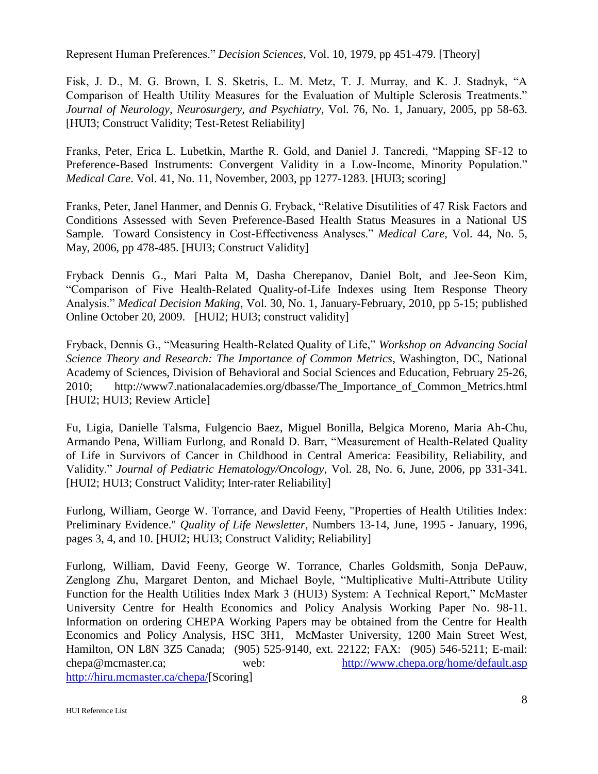Represent Human Preferences." *Decision Sciences*, Vol. 10, 1979, pp 451-479. [Theory]

Fisk, J. D., M. G. Brown, I. S. Sketris, L. M. Metz, T. J. Murray, and K. J. Stadnyk, "A Comparison of Health Utility Measures for the Evaluation of Multiple Sclerosis Treatments." *Journal of Neurology, Neurosurgery, and Psychiatry*, Vol. 76, No. 1, January, 2005, pp 58-63. [HUI3; Construct Validity; Test-Retest Reliability]

Franks, Peter, Erica L. Lubetkin, Marthe R. Gold, and Daniel J. Tancredi, "Mapping SF-12 to Preference-Based Instruments: Convergent Validity in a Low-Income, Minority Population." *Medical Care*. Vol. 41, No. 11, November, 2003, pp 1277-1283. [HUI3; scoring]

Franks, Peter, Janel Hanmer, and Dennis G. Fryback, "Relative Disutilities of 47 Risk Factors and Conditions Assessed with Seven Preference-Based Health Status Measures in a National US Sample. Toward Consistency in Cost-Effectiveness Analyses." *Medical Care*, Vol. 44, No. 5, May, 2006, pp 478-485. [HUI3; Construct Validity]

Fryback Dennis G., Mari Palta M, Dasha Cherepanov, Daniel Bolt, and Jee-Seon Kim, "Comparison of Five Health-Related Quality-of-Life Indexes using Item Response Theory Analysis." *Medical Decision Making*, Vol. 30, No. 1, January-February, 2010, pp 5-15; published Online October 20, 2009. [HUI2; HUI3; construct validity]

Fryback, Dennis G., "Measuring Health-Related Quality of Life," *Workshop on Advancing Social Science Theory and Research: The Importance of Common Metrics*, Washington, DC, National Academy of Sciences, Division of Behavioral and Social Sciences and Education, February 25-26, 2010; http://www7.nationalacademies.org/dbasse/The\_Importance\_of\_Common\_Metrics.html [HUI2; HUI3; Review Article]

Fu, Ligia, Danielle Talsma, Fulgencio Baez, Miguel Bonilla, Belgica Moreno, Maria Ah-Chu, Armando Pena, William Furlong, and Ronald D. Barr, "Measurement of Health-Related Quality of Life in Survivors of Cancer in Childhood in Central America: Feasibility, Reliability, and Validity." *Journal of Pediatric Hematology/Oncology*, Vol. 28, No. 6, June, 2006, pp 331-341. [HUI2; HUI3; Construct Validity; Inter-rater Reliability]

Furlong, William, George W. Torrance, and David Feeny, "Properties of Health Utilities Index: Preliminary Evidence." *Quality of Life Newsletter*, Numbers 13-14, June, 1995 - January, 1996, pages 3, 4, and 10. [HUI2; HUI3; Construct Validity; Reliability]

Furlong, William, David Feeny, George W. Torrance, Charles Goldsmith, Sonja DePauw, Zenglong Zhu, Margaret Denton, and Michael Boyle, "Multiplicative Multi-Attribute Utility Function for the Health Utilities Index Mark 3 (HUI3) System: A Technical Report," McMaster University Centre for Health Economics and Policy Analysis Working Paper No. 98-11. Information on ordering CHEPA Working Papers may be obtained from the Centre for Health Economics and Policy Analysis, HSC 3H1, McMaster University, 1200 Main Street West, Hamilton, ON L8N 3Z5 Canada; (905) 525-9140, ext. 22122; FAX: (905) 546-5211; E-mail: chepa@mcmaster.ca; web: <http://www.chepa.org/home/default.asp> [http://hiru.mcmaster.ca/chepa/\[](http://hiru.mcmaster.ca/chepa/)Scoring]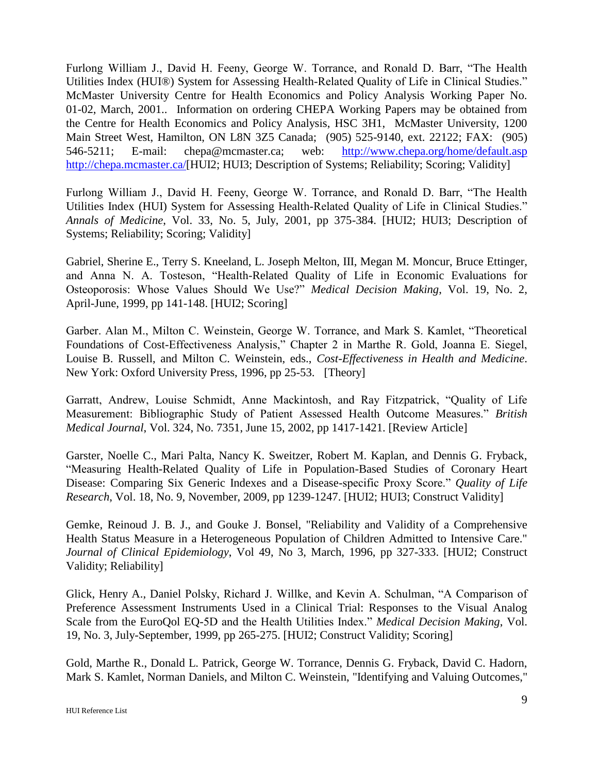Furlong William J., David H. Feeny, George W. Torrance, and Ronald D. Barr, "The Health Utilities Index (HUI®) System for Assessing Health-Related Quality of Life in Clinical Studies." McMaster University Centre for Health Economics and Policy Analysis Working Paper No. 01-02, March, 2001.. Information on ordering CHEPA Working Papers may be obtained from the Centre for Health Economics and Policy Analysis, HSC 3H1, McMaster University, 1200 Main Street West, Hamilton, ON L8N 3Z5 Canada; (905) 525-9140, ext. 22122; FAX: (905) 546-5211; E-mail: chepa@mcmaster.ca; web: <http://www.chepa.org/home/default.asp> [http://chepa.mcmaster.ca/\[](http://chepa.mcmaster.ca/)HUI2; HUI3; Description of Systems; Reliability; Scoring; Validity]

Furlong William J., David H. Feeny, George W. Torrance, and Ronald D. Barr, "The Health Utilities Index (HUI) System for Assessing Health-Related Quality of Life in Clinical Studies." *Annals of Medicine*, Vol. 33, No. 5, July, 2001, pp 375-384. [HUI2; HUI3; Description of Systems; Reliability; Scoring; Validity]

Gabriel, Sherine E., Terry S. Kneeland, L. Joseph Melton, III, Megan M. Moncur, Bruce Ettinger, and Anna N. A. Tosteson, "Health-Related Quality of Life in Economic Evaluations for Osteoporosis: Whose Values Should We Use?" *Medical Decision Making*, Vol. 19, No. 2, April-June, 1999, pp 141-148. [HUI2; Scoring]

Garber. Alan M., Milton C. Weinstein, George W. Torrance, and Mark S. Kamlet, "Theoretical Foundations of Cost-Effectiveness Analysis," Chapter 2 in Marthe R. Gold, Joanna E. Siegel, Louise B. Russell, and Milton C. Weinstein, eds., *Cost-Effectiveness in Health and Medicine*. New York: Oxford University Press, 1996, pp 25-53. [Theory]

Garratt, Andrew, Louise Schmidt, Anne Mackintosh, and Ray Fitzpatrick, "Quality of Life Measurement: Bibliographic Study of Patient Assessed Health Outcome Measures." *British Medical Journal*, Vol. 324, No. 7351, June 15, 2002, pp 1417-1421. [Review Article]

Garster, Noelle C., Mari Palta, Nancy K. Sweitzer, Robert M. Kaplan, and Dennis G. Fryback, "Measuring Health-Related Quality of Life in Population-Based Studies of Coronary Heart Disease: Comparing Six Generic Indexes and a Disease-specific Proxy Score." *Quality of Life Research*, Vol. 18, No. 9, November, 2009, pp 1239-1247. [HUI2; HUI3; Construct Validity]

Gemke, Reinoud J. B. J., and Gouke J. Bonsel, "Reliability and Validity of a Comprehensive Health Status Measure in a Heterogeneous Population of Children Admitted to Intensive Care." *Journal of Clinical Epidemiology*, Vol 49, No 3, March, 1996, pp 327-333. [HUI2; Construct Validity; Reliability]

Glick, Henry A., Daniel Polsky, Richard J. Willke, and Kevin A. Schulman, "A Comparison of Preference Assessment Instruments Used in a Clinical Trial: Responses to the Visual Analog Scale from the EuroQol EQ-5D and the Health Utilities Index." *Medical Decision Making*, Vol. 19, No. 3, July-September, 1999, pp 265-275. [HUI2; Construct Validity; Scoring]

Gold, Marthe R., Donald L. Patrick, George W. Torrance, Dennis G. Fryback, David C. Hadorn, Mark S. Kamlet, Norman Daniels, and Milton C. Weinstein, "Identifying and Valuing Outcomes,"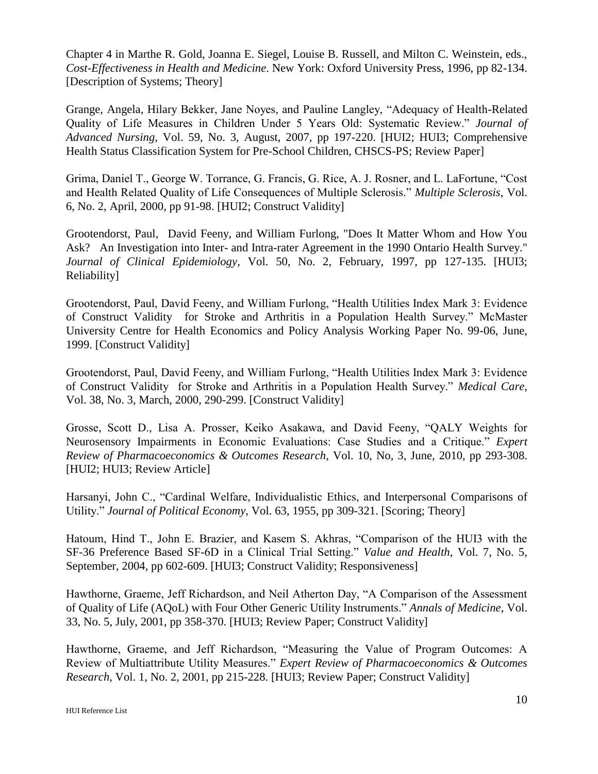Chapter 4 in Marthe R. Gold, Joanna E. Siegel, Louise B. Russell, and Milton C. Weinstein, eds., *Cost-Effectiveness in Health and Medicine*. New York: Oxford University Press, 1996, pp 82-134. [Description of Systems; Theory]

Grange, Angela, Hilary Bekker, Jane Noyes, and Pauline Langley, "Adequacy of Health-Related Quality of Life Measures in Children Under 5 Years Old: Systematic Review." *Journal of Advanced Nursing*, Vol. 59, No. 3, August, 2007, pp 197-220. [HUI2; HUI3; Comprehensive Health Status Classification System for Pre-School Children, CHSCS-PS; Review Paper]

Grima, Daniel T., George W. Torrance, G. Francis, G. Rice, A. J. Rosner, and L. LaFortune, "Cost and Health Related Quality of Life Consequences of Multiple Sclerosis." *Multiple Sclerosis*, Vol. 6, No. 2, April, 2000, pp 91-98. [HUI2; Construct Validity]

Grootendorst, Paul, David Feeny, and William Furlong, "Does It Matter Whom and How You Ask? An Investigation into Inter- and Intra-rater Agreement in the 1990 Ontario Health Survey." *Journal of Clinical Epidemiology*, Vol. 50, No. 2, February, 1997, pp 127-135. [HUI3; Reliability]

Grootendorst, Paul, David Feeny, and William Furlong, "Health Utilities Index Mark 3: Evidence of Construct Validity for Stroke and Arthritis in a Population Health Survey." McMaster University Centre for Health Economics and Policy Analysis Working Paper No. 99-06, June, 1999. [Construct Validity]

Grootendorst, Paul, David Feeny, and William Furlong, "Health Utilities Index Mark 3: Evidence of Construct Validity for Stroke and Arthritis in a Population Health Survey." *Medical Care*, Vol. 38, No. 3, March, 2000, 290-299. [Construct Validity]

Grosse, Scott D., Lisa A. Prosser, Keiko Asakawa, and David Feeny, "QALY Weights for Neurosensory Impairments in Economic Evaluations: Case Studies and a Critique." *Expert Review of Pharmacoeconomics & Outcomes Research*, Vol. 10, No, 3, June, 2010, pp 293-308. [HUI2; HUI3; Review Article]

Harsanyi, John C., "Cardinal Welfare, Individualistic Ethics, and Interpersonal Comparisons of Utility." *Journal of Political Economy*, Vol. 63, 1955, pp 309-321. [Scoring; Theory]

Hatoum, Hind T., John E. Brazier, and Kasem S. Akhras, "Comparison of the HUI3 with the SF-36 Preference Based SF-6D in a Clinical Trial Setting." *Value and Health*, Vol. 7, No. 5, September, 2004, pp 602-609. [HUI3; Construct Validity; Responsiveness]

Hawthorne, Graeme, Jeff Richardson, and Neil Atherton Day, "A Comparison of the Assessment of Quality of Life (AQoL) with Four Other Generic Utility Instruments." *Annals of Medicine*, Vol. 33, No. 5, July, 2001, pp 358-370. [HUI3; Review Paper; Construct Validity]

Hawthorne, Graeme, and Jeff Richardson, "Measuring the Value of Program Outcomes: A Review of Multiattribute Utility Measures." *Expert Review of Pharmacoeconomics & Outcomes Research*, Vol. 1, No. 2, 2001, pp 215-228. [HUI3; Review Paper; Construct Validity]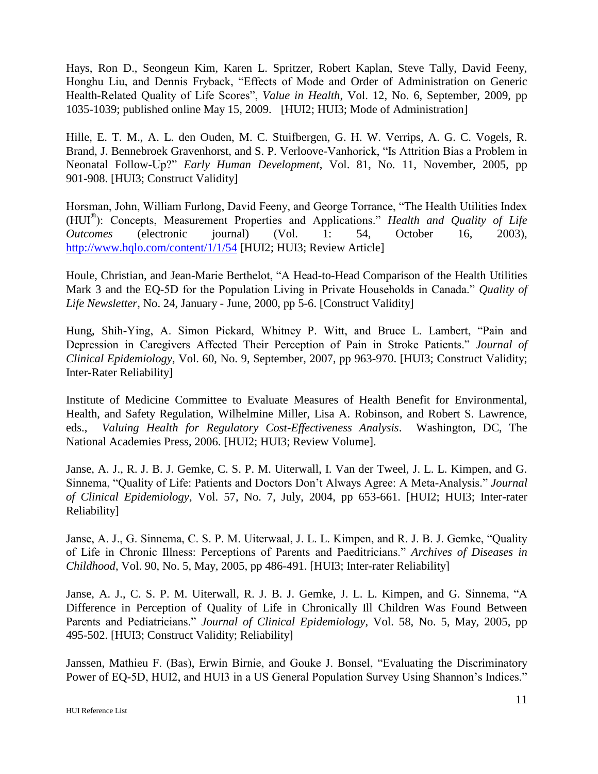Hays, Ron D., Seongeun Kim, Karen L. Spritzer, Robert Kaplan, Steve Tally, David Feeny, Honghu Liu, and Dennis Fryback, "Effects of Mode and Order of Administration on Generic Health-Related Quality of Life Scores", *Value in Health*, Vol. 12, No. 6, September, 2009, pp 1035-1039; published online May 15, 2009. [HUI2; HUI3; Mode of Administration]

Hille, E. T. M., A. L. den Ouden, M. C. Stuifbergen, G. H. W. Verrips, A. G. C. Vogels, R. Brand, J. Bennebroek Gravenhorst, and S. P. Verloove-Vanhorick, "Is Attrition Bias a Problem in Neonatal Follow-Up?" *Early Human Development*, Vol. 81, No. 11, November, 2005, pp 901-908. [HUI3; Construct Validity]

Horsman, John, William Furlong, David Feeny, and George Torrance, "The Health Utilities Index (HUI® ): Concepts, Measurement Properties and Applications." *Health and Quality of Life Outcomes* (electronic journal) (Vol. 1: 54, October 16, 2003), <http://www.hqlo.com/content/1/1/54> [HUI2; HUI3; Review Article]

Houle, Christian, and Jean-Marie Berthelot, "A Head-to-Head Comparison of the Health Utilities Mark 3 and the EQ-5D for the Population Living in Private Households in Canada." *Quality of Life Newsletter*, No. 24, January - June, 2000, pp 5-6. [Construct Validity]

Hung, Shih-Ying, A. Simon Pickard, Whitney P. Witt, and Bruce L. Lambert, "Pain and Depression in Caregivers Affected Their Perception of Pain in Stroke Patients." *Journal of Clinical Epidemiology*, Vol. 60, No. 9, September, 2007, pp 963-970. [HUI3; Construct Validity; Inter-Rater Reliability]

Institute of Medicine Committee to Evaluate Measures of Health Benefit for Environmental, Health, and Safety Regulation, Wilhelmine Miller, Lisa A. Robinson, and Robert S. Lawrence, eds., *Valuing Health for Regulatory Cost-Effectiveness Analysis*. Washington, DC, The National Academies Press, 2006. [HUI2; HUI3; Review Volume].

Janse, A. J., R. J. B. J. Gemke, C. S. P. M. Uiterwall, I. Van der Tweel, J. L. L. Kimpen, and G. Sinnema, "Quality of Life: Patients and Doctors Don't Always Agree: A Meta-Analysis." *Journal of Clinical Epidemiology*, Vol. 57, No. 7, July, 2004, pp 653-661. [HUI2; HUI3; Inter-rater Reliability]

Janse, A. J., G. Sinnema, C. S. P. M. Uiterwaal, J. L. L. Kimpen, and R. J. B. J. Gemke, "Quality of Life in Chronic Illness: Perceptions of Parents and Paeditricians." *Archives of Diseases in Childhood*, Vol. 90, No. 5, May, 2005, pp 486-491. [HUI3; Inter-rater Reliability]

Janse, A. J., C. S. P. M. Uiterwall, R. J. B. J. Gemke, J. L. L. Kimpen, and G. Sinnema, "A Difference in Perception of Quality of Life in Chronically Ill Children Was Found Between Parents and Pediatricians." *Journal of Clinical Epidemiology*, Vol. 58, No. 5, May, 2005, pp 495-502. [HUI3; Construct Validity; Reliability]

Janssen, Mathieu F. (Bas), Erwin Birnie, and Gouke J. Bonsel, "Evaluating the Discriminatory Power of EQ-5D, HUI2, and HUI3 in a US General Population Survey Using Shannon's Indices."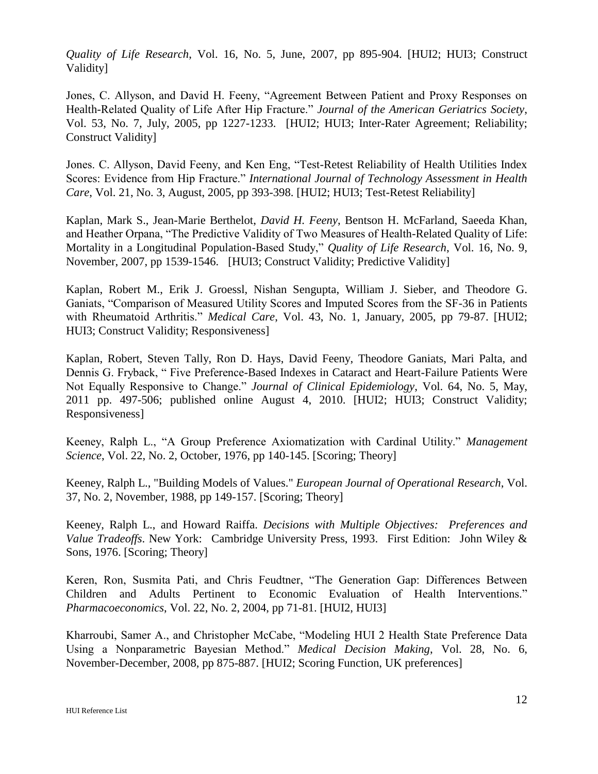*Quality of Life Research*, Vol. 16, No. 5, June, 2007, pp 895-904. [HUI2; HUI3; Construct Validity]

Jones, C. Allyson, and David H. Feeny, "Agreement Between Patient and Proxy Responses on Health-Related Quality of Life After Hip Fracture." *Journal of the American Geriatrics Society*, Vol. 53, No. 7, July, 2005, pp 1227-1233. [HUI2; HUI3; Inter-Rater Agreement; Reliability; Construct Validity]

Jones. C. Allyson, David Feeny, and Ken Eng, "Test-Retest Reliability of Health Utilities Index Scores: Evidence from Hip Fracture." *International Journal of Technology Assessment in Health Care*, Vol. 21, No. 3, August, 2005, pp 393-398. [HUI2; HUI3; Test-Retest Reliability]

Kaplan, Mark S., Jean-Marie Berthelot, *David H. Feeny*, Bentson H. McFarland, Saeeda Khan, and Heather Orpana, "The Predictive Validity of Two Measures of Health-Related Quality of Life: Mortality in a Longitudinal Population-Based Study," *Quality of Life Research*, Vol. 16, No. 9, November, 2007, pp 1539-1546. [HUI3; Construct Validity; Predictive Validity]

Kaplan, Robert M., Erik J. Groessl, Nishan Sengupta, William J. Sieber, and Theodore G. Ganiats, "Comparison of Measured Utility Scores and Imputed Scores from the SF-36 in Patients with Rheumatoid Arthritis." *Medical Care*, Vol. 43, No. 1, January, 2005, pp 79-87. [HUI2; HUI3; Construct Validity; Responsiveness]

Kaplan, Robert, Steven Tally, Ron D. Hays, David Feeny, Theodore Ganiats, Mari Palta, and Dennis G. Fryback, " Five Preference-Based Indexes in Cataract and Heart-Failure Patients Were Not Equally Responsive to Change." *Journal of Clinical Epidemiology*, Vol. 64, No. 5, May, 2011 pp. 497-506; published online August 4, 2010. [HUI2; HUI3; Construct Validity; Responsiveness]

Keeney, Ralph L., "A Group Preference Axiomatization with Cardinal Utility." *Management Science*, Vol. 22, No. 2, October, 1976, pp 140-145. [Scoring; Theory]

Keeney, Ralph L., "Building Models of Values." *European Journal of Operational Research*, Vol. 37, No. 2, November, 1988, pp 149-157. [Scoring; Theory]

Keeney, Ralph L., and Howard Raiffa. *Decisions with Multiple Objectives: Preferences and Value Tradeoffs*. New York: Cambridge University Press, 1993. First Edition: John Wiley & Sons, 1976. [Scoring; Theory]

Keren, Ron, Susmita Pati, and Chris Feudtner, "The Generation Gap: Differences Between Children and Adults Pertinent to Economic Evaluation of Health Interventions." *Pharmacoeconomics*, Vol. 22, No. 2, 2004, pp 71-81. [HUI2, HUI3]

Kharroubi, Samer A., and Christopher McCabe, "Modeling HUI 2 Health State Preference Data Using a Nonparametric Bayesian Method." *Medical Decision Making*, Vol. 28, No. 6, November-December, 2008, pp 875-887. [HUI2; Scoring Function, UK preferences]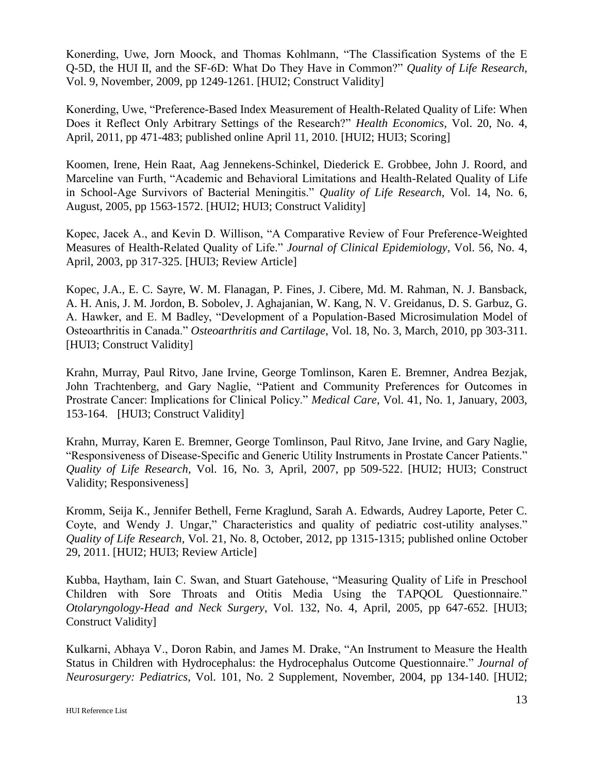Konerding, Uwe, Jorn Moock, and Thomas Kohlmann, "The Classification Systems of the E Q-5D, the HUI II, and the SF-6D: What Do They Have in Common?" *Quality of Life Research*, Vol. 9, November, 2009, pp 1249-1261. [HUI2; Construct Validity]

Konerding, Uwe, "Preference-Based Index Measurement of Health-Related Quality of Life: When Does it Reflect Only Arbitrary Settings of the Research?" *Health Economics*, Vol. 20, No. 4, April, 2011, pp 471-483; published online April 11, 2010. [HUI2; HUI3; Scoring]

Koomen, Irene, Hein Raat, Aag Jennekens-Schinkel, Diederick E. Grobbee, John J. Roord, and Marceline van Furth, "Academic and Behavioral Limitations and Health-Related Quality of Life in School-Age Survivors of Bacterial Meningitis." *Quality of Life Research*, Vol. 14, No. 6, August, 2005, pp 1563-1572. [HUI2; HUI3; Construct Validity]

Kopec, Jacek A., and Kevin D. Willison, "A Comparative Review of Four Preference-Weighted Measures of Health-Related Quality of Life." *Journal of Clinical Epidemiology*, Vol. 56, No. 4, April, 2003, pp 317-325. [HUI3; Review Article]

Kopec, J.A., E. C. Sayre, W. M. Flanagan, P. Fines, J. Cibere, Md. M. Rahman, N. J. Bansback, A. H. Anis, J. M. Jordon, B. Sobolev, J. Aghajanian, W. Kang, N. V. Greidanus, D. S. Garbuz, G. A. Hawker, and E. M Badley, "Development of a Population-Based Microsimulation Model of Osteoarthritis in Canada." *Osteoarthritis and Cartilage*, Vol. 18, No. 3, March, 2010, pp 303-311. [HUI3; Construct Validity]

Krahn, Murray, Paul Ritvo, Jane Irvine, George Tomlinson, Karen E. Bremner, Andrea Bezjak, John Trachtenberg, and Gary Naglie, "Patient and Community Preferences for Outcomes in Prostrate Cancer: Implications for Clinical Policy." *Medical Care*, Vol. 41, No. 1, January, 2003, 153-164. [HUI3; Construct Validity]

Krahn, Murray, Karen E. Bremner, George Tomlinson, Paul Ritvo, Jane Irvine, and Gary Naglie, "Responsiveness of Disease-Specific and Generic Utility Instruments in Prostate Cancer Patients." *Quality of Life Research*, Vol. 16, No. 3, April, 2007, pp 509-522. [HUI2; HUI3; Construct Validity; Responsiveness]

Kromm, Seija K., Jennifer Bethell, Ferne Kraglund, Sarah A. Edwards, Audrey Laporte, Peter C. Coyte, and Wendy J. Ungar," Characteristics and quality of pediatric cost-utility analyses." *Quality of Life Research*, Vol. 21, No. 8, October, 2012, pp 1315-1315; published online October 29, 2011. [HUI2; HUI3; Review Article]

Kubba, Haytham, Iain C. Swan, and Stuart Gatehouse, "Measuring Quality of Life in Preschool Children with Sore Throats and Otitis Media Using the TAPQOL Questionnaire." *Otolaryngology-Head and Neck Surgery*, Vol. 132, No. 4, April, 2005, pp 647-652. [HUI3; Construct Validity]

Kulkarni, Abhaya V., Doron Rabin, and James M. Drake, "An Instrument to Measure the Health Status in Children with Hydrocephalus: the Hydrocephalus Outcome Questionnaire." *Journal of Neurosurgery: Pediatrics*, Vol. 101, No. 2 Supplement, November, 2004, pp 134-140. [HUI2;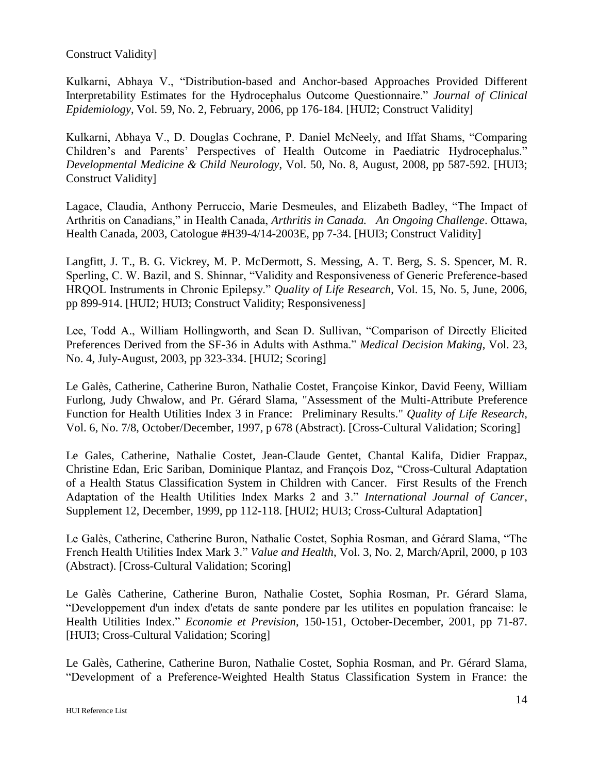## Construct Validity]

Kulkarni, Abhaya V., "Distribution-based and Anchor-based Approaches Provided Different Interpretability Estimates for the Hydrocephalus Outcome Questionnaire." *Journal of Clinical Epidemiology*, Vol. 59, No. 2, February, 2006, pp 176-184. [HUI2; Construct Validity]

Kulkarni, Abhaya V., D. Douglas Cochrane, P. Daniel McNeely, and Iffat Shams, "Comparing Children's and Parents' Perspectives of Health Outcome in Paediatric Hydrocephalus." *Developmental Medicine & Child Neurology*, Vol. 50, No. 8, August, 2008, pp 587-592. [HUI3; Construct Validity]

Lagace, Claudia, Anthony Perruccio, Marie Desmeules, and Elizabeth Badley, "The Impact of Arthritis on Canadians," in Health Canada, *Arthritis in Canada. An Ongoing Challenge*. Ottawa, Health Canada, 2003, Catologue #H39-4/14-2003E, pp 7-34. [HUI3; Construct Validity]

Langfitt, J. T., B. G. Vickrey, M. P. McDermott, S. Messing, A. T. Berg, S. S. Spencer, M. R. Sperling, C. W. Bazil, and S. Shinnar, "Validity and Responsiveness of Generic Preference-based HRQOL Instruments in Chronic Epilepsy." *Quality of Life Research*, Vol. 15, No. 5, June, 2006, pp 899-914. [HUI2; HUI3; Construct Validity; Responsiveness]

Lee, Todd A., William Hollingworth, and Sean D. Sullivan, "Comparison of Directly Elicited Preferences Derived from the SF-36 in Adults with Asthma." *Medical Decision Making*, Vol. 23, No. 4, July-August, 2003, pp 323-334. [HUI2; Scoring]

Le Galès, Catherine, Catherine Buron, Nathalie Costet, Françoise Kinkor, David Feeny, William Furlong, Judy Chwalow, and Pr. Gérard Slama, "Assessment of the Multi-Attribute Preference Function for Health Utilities Index 3 in France: Preliminary Results." *Quality of Life Research*, Vol. 6, No. 7/8, October/December, 1997, p 678 (Abstract). [Cross-Cultural Validation; Scoring]

Le Gales, Catherine, Nathalie Costet, Jean-Claude Gentet, Chantal Kalifa, Didier Frappaz, Christine Edan, Eric Sariban, Dominique Plantaz, and François Doz, "Cross-Cultural Adaptation of a Health Status Classification System in Children with Cancer. First Results of the French Adaptation of the Health Utilities Index Marks 2 and 3." *International Journal of Cancer*, Supplement 12, December, 1999, pp 112-118. [HUI2; HUI3; Cross-Cultural Adaptation]

Le Galès, Catherine, Catherine Buron, Nathalie Costet, Sophia Rosman, and Gérard Slama, "The French Health Utilities Index Mark 3." *Value and Health*, Vol. 3, No. 2, March/April, 2000, p 103 (Abstract). [Cross-Cultural Validation; Scoring]

Le Galès Catherine, Catherine Buron, Nathalie Costet, Sophia Rosman, Pr. Gérard Slama, "Developpement d'un index d'etats de sante pondere par les utilites en population francaise: le Health Utilities Index." *Economie et Prevision*, 150-151, October-December, 2001, pp 71-87. [HUI3; Cross-Cultural Validation; Scoring]

Le Galès, Catherine, Catherine Buron, Nathalie Costet, Sophia Rosman, and Pr. Gérard Slama, "Development of a Preference-Weighted Health Status Classification System in France: the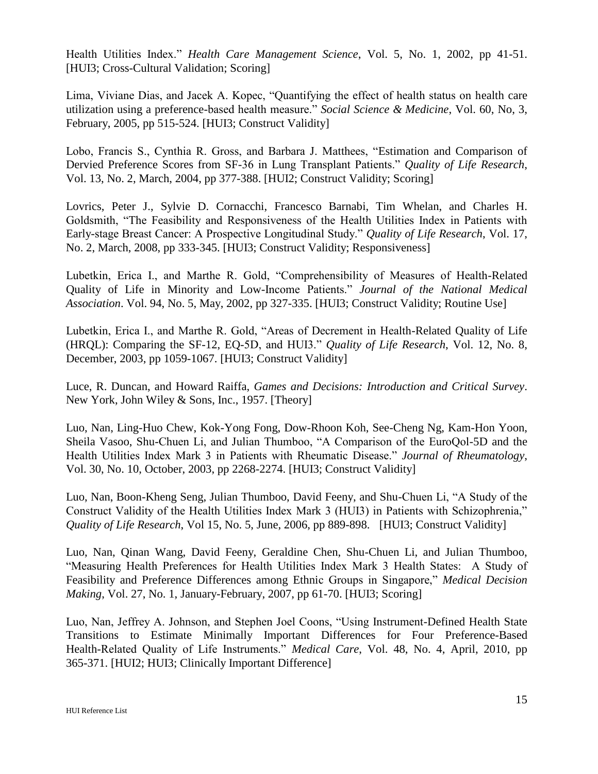Health Utilities Index." *Health Care Management Science*, Vol. 5, No. 1, 2002, pp 41-51. [HUI3; Cross-Cultural Validation; Scoring]

Lima, Viviane Dias, and Jacek A. Kopec, "Quantifying the effect of health status on health care utilization using a preference-based health measure." *Social Science & Medicine*, Vol. 60, No, 3, February, 2005, pp 515-524. [HUI3; Construct Validity]

Lobo, Francis S., Cynthia R. Gross, and Barbara J. Matthees, "Estimation and Comparison of Dervied Preference Scores from SF-36 in Lung Transplant Patients." *Quality of Life Research*, Vol. 13, No. 2, March, 2004, pp 377-388. [HUI2; Construct Validity; Scoring]

Lovrics, Peter J., Sylvie D. Cornacchi, Francesco Barnabi, Tim Whelan, and Charles H. Goldsmith, "The Feasibility and Responsiveness of the Health Utilities Index in Patients with Early-stage Breast Cancer: A Prospective Longitudinal Study." *Quality of Life Research*, Vol. 17, No. 2, March, 2008, pp 333-345. [HUI3; Construct Validity; Responsiveness]

Lubetkin, Erica I., and Marthe R. Gold, "Comprehensibility of Measures of Health-Related Quality of Life in Minority and Low-Income Patients." *Journal of the National Medical Association*. Vol. 94, No. 5, May, 2002, pp 327-335. [HUI3; Construct Validity; Routine Use]

Lubetkin, Erica I., and Marthe R. Gold, "Areas of Decrement in Health-Related Quality of Life (HRQL): Comparing the SF-12, EQ-5D, and HUI3." *Quality of Life Research*, Vol. 12, No. 8, December, 2003, pp 1059-1067. [HUI3; Construct Validity]

Luce, R. Duncan, and Howard Raiffa, *Games and Decisions: Introduction and Critical Survey*. New York, John Wiley & Sons, Inc., 1957. [Theory]

Luo, Nan, Ling-Huo Chew, Kok-Yong Fong, Dow-Rhoon Koh, See-Cheng Ng, Kam-Hon Yoon, Sheila Vasoo, Shu-Chuen Li, and Julian Thumboo, "A Comparison of the EuroQol-5D and the Health Utilities Index Mark 3 in Patients with Rheumatic Disease." *Journal of Rheumatology*, Vol. 30, No. 10, October, 2003, pp 2268-2274. [HUI3; Construct Validity]

Luo, Nan, Boon-Kheng Seng, Julian Thumboo, David Feeny, and Shu-Chuen Li, "A Study of the Construct Validity of the Health Utilities Index Mark 3 (HUI3) in Patients with Schizophrenia," *Quality of Life Research*, Vol 15, No. 5, June, 2006, pp 889-898. [HUI3; Construct Validity]

Luo, Nan, Qinan Wang, David Feeny, Geraldine Chen, Shu-Chuen Li, and Julian Thumboo, "Measuring Health Preferences for Health Utilities Index Mark 3 Health States: A Study of Feasibility and Preference Differences among Ethnic Groups in Singapore," *Medical Decision Making*, Vol. 27, No. 1, January-February, 2007, pp 61-70. [HUI3; Scoring]

Luo, Nan, Jeffrey A. Johnson, and Stephen Joel Coons, "Using Instrument-Defined Health State Transitions to Estimate Minimally Important Differences for Four Preference-Based Health-Related Quality of Life Instruments." *Medical Care*, Vol. 48, No. 4, April, 2010, pp 365-371. [HUI2; HUI3; Clinically Important Difference]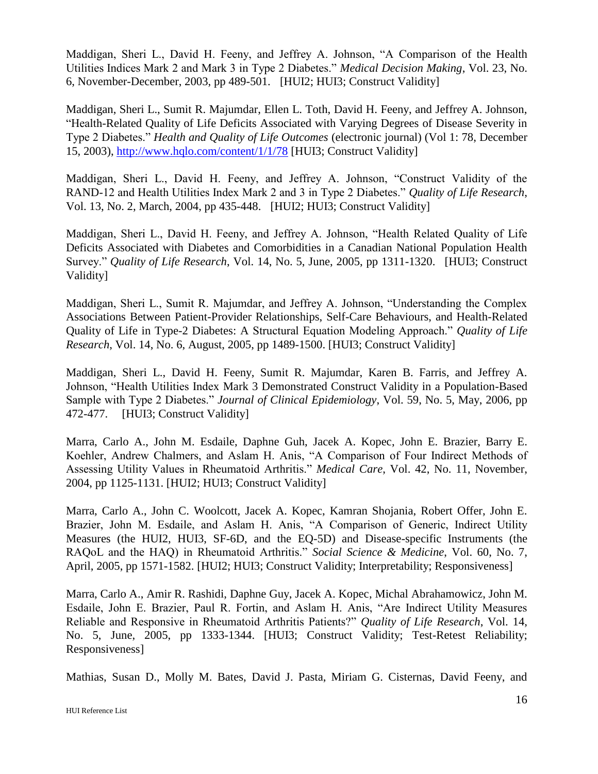Maddigan, Sheri L., David H. Feeny, and Jeffrey A. Johnson, "A Comparison of the Health Utilities Indices Mark 2 and Mark 3 in Type 2 Diabetes." *Medical Decision Making*, Vol. 23, No. 6, November-December, 2003, pp 489-501. [HUI2; HUI3; Construct Validity]

Maddigan, Sheri L., Sumit R. Majumdar, Ellen L. Toth, David H. Feeny, and Jeffrey A. Johnson, "Health-Related Quality of Life Deficits Associated with Varying Degrees of Disease Severity in Type 2 Diabetes." *Health and Quality of Life Outcomes* (electronic journal) (Vol 1: 78, December 15, 2003),<http://www.hqlo.com/content/1/1/78> [HUI3; Construct Validity]

Maddigan, Sheri L., David H. Feeny, and Jeffrey A. Johnson, "Construct Validity of the RAND-12 and Health Utilities Index Mark 2 and 3 in Type 2 Diabetes." *Quality of Life Research*, Vol. 13, No. 2, March, 2004, pp 435-448. [HUI2; HUI3; Construct Validity]

Maddigan, Sheri L., David H. Feeny, and Jeffrey A. Johnson, "Health Related Quality of Life Deficits Associated with Diabetes and Comorbidities in a Canadian National Population Health Survey." *Quality of Life Research*, Vol. 14, No. 5, June, 2005, pp 1311-1320. [HUI3; Construct Validity]

Maddigan, Sheri L., Sumit R. Majumdar, and Jeffrey A. Johnson, "Understanding the Complex Associations Between Patient-Provider Relationships, Self-Care Behaviours, and Health-Related Quality of Life in Type-2 Diabetes: A Structural Equation Modeling Approach." *Quality of Life Research*, Vol. 14, No. 6, August, 2005, pp 1489-1500. [HUI3; Construct Validity]

Maddigan, Sheri L., David H. Feeny, Sumit R. Majumdar, Karen B. Farris, and Jeffrey A. Johnson, "Health Utilities Index Mark 3 Demonstrated Construct Validity in a Population-Based Sample with Type 2 Diabetes." *Journal of Clinical Epidemiology*, Vol. 59, No. 5, May, 2006, pp 472-477. [HUI3; Construct Validity]

Marra, Carlo A., John M. Esdaile, Daphne Guh, Jacek A. Kopec, John E. Brazier, Barry E. Koehler, Andrew Chalmers, and Aslam H. Anis, "A Comparison of Four Indirect Methods of Assessing Utility Values in Rheumatoid Arthritis." *Medical Care*, Vol. 42, No. 11, November, 2004, pp 1125-1131. [HUI2; HUI3; Construct Validity]

Marra, Carlo A., John C. Woolcott, Jacek A. Kopec, Kamran Shojania, Robert Offer, John E. Brazier, John M. Esdaile, and Aslam H. Anis, "A Comparison of Generic, Indirect Utility Measures (the HUI2, HUI3, SF-6D, and the EQ-5D) and Disease-specific Instruments (the RAQoL and the HAQ) in Rheumatoid Arthritis." *Social Science & Medicine*, Vol. 60, No. 7, April, 2005, pp 1571-1582. [HUI2; HUI3; Construct Validity; Interpretability; Responsiveness]

Marra, Carlo A., Amir R. Rashidi, Daphne Guy, Jacek A. Kopec, Michal Abrahamowicz, John M. Esdaile, John E. Brazier, Paul R. Fortin, and Aslam H. Anis, "Are Indirect Utility Measures Reliable and Responsive in Rheumatoid Arthritis Patients?" *Quality of Life Research*, Vol. 14, No. 5, June, 2005, pp 1333-1344. [HUI3; Construct Validity; Test-Retest Reliability; Responsiveness]

Mathias, Susan D., Molly M. Bates, David J. Pasta, Miriam G. Cisternas, David Feeny, and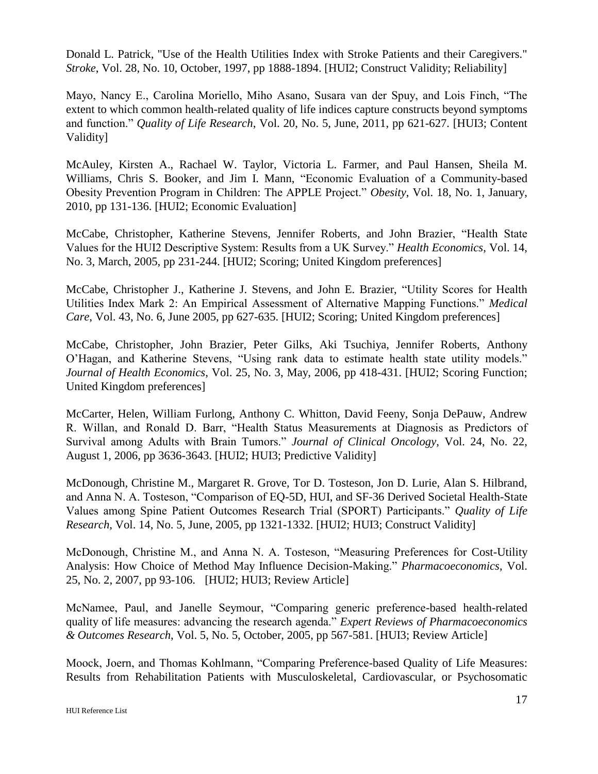Donald L. Patrick, "Use of the Health Utilities Index with Stroke Patients and their Caregivers." *Stroke*, Vol. 28, No. 10, October, 1997, pp 1888-1894. [HUI2; Construct Validity; Reliability]

Mayo, Nancy E., Carolina Moriello, Miho Asano, Susara van der Spuy, and Lois Finch, "The extent to which common health-related quality of life indices capture constructs beyond symptoms and function." *Quality of Life Research*, Vol. 20, No. 5, June, 2011, pp 621-627. [HUI3; Content Validity]

McAuley, Kirsten A., Rachael W. Taylor, Victoria L. Farmer, and Paul Hansen, Sheila M. Williams, Chris S. Booker, and Jim I. Mann, "Economic Evaluation of a Community-based Obesity Prevention Program in Children: The APPLE Project." *Obesity*, Vol. 18, No. 1, January, 2010, pp 131-136. [HUI2; Economic Evaluation]

McCabe, Christopher, Katherine Stevens, Jennifer Roberts, and John Brazier, "Health State Values for the HUI2 Descriptive System: Results from a UK Survey." *Health Economics*, Vol. 14, No. 3, March, 2005, pp 231-244. [HUI2; Scoring; United Kingdom preferences]

McCabe, Christopher J., Katherine J. Stevens, and John E. Brazier, "Utility Scores for Health Utilities Index Mark 2: An Empirical Assessment of Alternative Mapping Functions." *Medical Care*, Vol. 43, No. 6, June 2005, pp 627-635. [HUI2; Scoring; United Kingdom preferences]

McCabe, Christopher, John Brazier, Peter Gilks, Aki Tsuchiya, Jennifer Roberts, Anthony O'Hagan, and Katherine Stevens, "Using rank data to estimate health state utility models." *Journal of Health Economics*, Vol. 25, No. 3, May, 2006, pp 418-431. [HUI2; Scoring Function; United Kingdom preferences]

McCarter, Helen, William Furlong, Anthony C. Whitton, David Feeny, Sonja DePauw, Andrew R. Willan, and Ronald D. Barr, "Health Status Measurements at Diagnosis as Predictors of Survival among Adults with Brain Tumors." *Journal of Clinical Oncology*, Vol. 24, No. 22, August 1, 2006, pp 3636-3643. [HUI2; HUI3; Predictive Validity]

McDonough, Christine M., Margaret R. Grove, Tor D. Tosteson, Jon D. Lurie, Alan S. Hilbrand, and Anna N. A. Tosteson, "Comparison of EQ-5D, HUI, and SF-36 Derived Societal Health-State Values among Spine Patient Outcomes Research Trial (SPORT) Participants." *Quality of Life Research*, Vol. 14, No. 5, June, 2005, pp 1321-1332. [HUI2; HUI3; Construct Validity]

McDonough, Christine M., and Anna N. A. Tosteson, "Measuring Preferences for Cost-Utility Analysis: How Choice of Method May Influence Decision-Making." *Pharmacoeconomics*, Vol. 25, No. 2, 2007, pp 93-106. [HUI2; HUI3; Review Article]

McNamee, Paul, and Janelle Seymour, "Comparing generic preference-based health-related quality of life measures: advancing the research agenda." *Expert Reviews of Pharmacoeconomics & Outcomes Research*, Vol. 5, No. 5, October, 2005, pp 567-581. [HUI3; Review Article]

Moock, Joern, and Thomas Kohlmann, "Comparing Preference-based Quality of Life Measures: Results from Rehabilitation Patients with Musculoskeletal, Cardiovascular, or Psychosomatic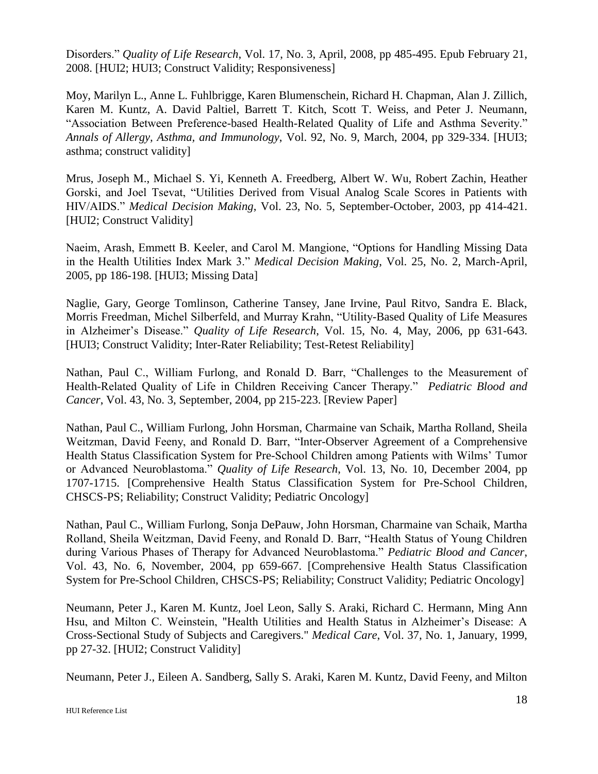Disorders." *Quality of Life Research*, Vol. 17, No. 3, April, 2008, pp 485-495. Epub February 21, 2008. [HUI2; HUI3; Construct Validity; Responsiveness]

Moy, Marilyn L., Anne L. Fuhlbrigge, Karen Blumenschein, Richard H. Chapman, Alan J. Zillich, Karen M. Kuntz, A. David Paltiel, Barrett T. Kitch, Scott T. Weiss, and Peter J. Neumann, "Association Between Preference-based Health-Related Quality of Life and Asthma Severity." *Annals of Allergy, Asthma, and Immunology*, Vol. 92, No. 9, March, 2004, pp 329-334. [HUI3; asthma; construct validity]

Mrus, Joseph M., Michael S. Yi, Kenneth A. Freedberg, Albert W. Wu, Robert Zachin, Heather Gorski, and Joel Tsevat, "Utilities Derived from Visual Analog Scale Scores in Patients with HIV/AIDS." *Medical Decision Making*, Vol. 23, No. 5, September-October, 2003, pp 414-421. [HUI2; Construct Validity]

Naeim, Arash, Emmett B. Keeler, and Carol M. Mangione, "Options for Handling Missing Data in the Health Utilities Index Mark 3." *Medical Decision Making*, Vol. 25, No. 2, March-April, 2005, pp 186-198. [HUI3; Missing Data]

Naglie, Gary, George Tomlinson, Catherine Tansey, Jane Irvine, Paul Ritvo, Sandra E. Black, Morris Freedman, Michel Silberfeld, and Murray Krahn, "Utility-Based Quality of Life Measures in Alzheimer's Disease." *Quality of Life Research*, Vol. 15, No. 4, May, 2006, pp 631-643. [HUI3; Construct Validity; Inter-Rater Reliability; Test-Retest Reliability]

Nathan, Paul C., William Furlong, and Ronald D. Barr, "Challenges to the Measurement of Health-Related Quality of Life in Children Receiving Cancer Therapy." *Pediatric Blood and Cancer*, Vol. 43, No. 3, September, 2004, pp 215-223. [Review Paper]

Nathan, Paul C., William Furlong, John Horsman, Charmaine van Schaik, Martha Rolland, Sheila Weitzman, David Feeny, and Ronald D. Barr, "Inter-Observer Agreement of a Comprehensive Health Status Classification System for Pre-School Children among Patients with Wilms' Tumor or Advanced Neuroblastoma." *Quality of Life Research*, Vol. 13, No. 10, December 2004, pp 1707-1715. [Comprehensive Health Status Classification System for Pre-School Children, CHSCS-PS; Reliability; Construct Validity; Pediatric Oncology]

Nathan, Paul C., William Furlong, Sonja DePauw, John Horsman, Charmaine van Schaik, Martha Rolland, Sheila Weitzman, David Feeny, and Ronald D. Barr, "Health Status of Young Children during Various Phases of Therapy for Advanced Neuroblastoma." *Pediatric Blood and Cancer*, Vol. 43, No. 6, November, 2004, pp 659-667. [Comprehensive Health Status Classification System for Pre-School Children, CHSCS-PS; Reliability; Construct Validity; Pediatric Oncology]

Neumann, Peter J., Karen M. Kuntz, Joel Leon, Sally S. Araki, Richard C. Hermann, Ming Ann Hsu, and Milton C. Weinstein, "Health Utilities and Health Status in Alzheimer's Disease: A Cross-Sectional Study of Subjects and Caregivers." *Medical Care*, Vol. 37, No. 1, January, 1999, pp 27-32. [HUI2; Construct Validity]

Neumann, Peter J., Eileen A. Sandberg, Sally S. Araki, Karen M. Kuntz, David Feeny, and Milton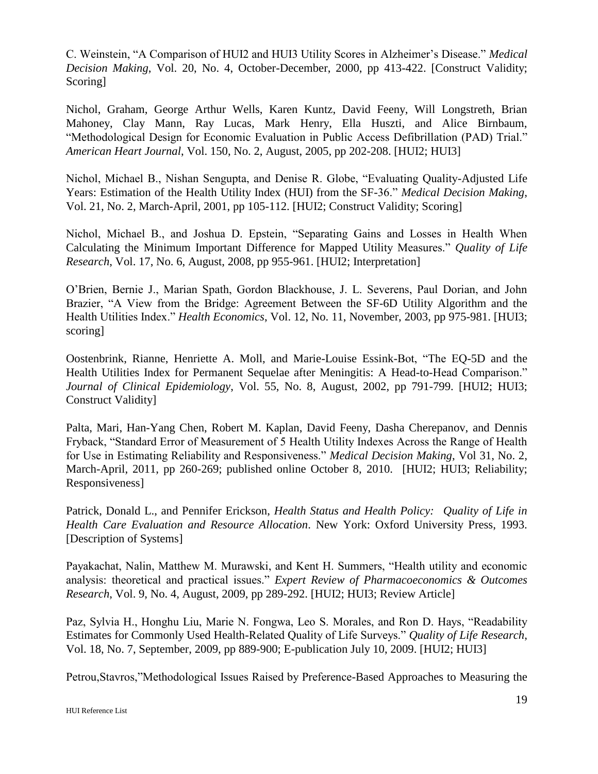C. Weinstein, "A Comparison of HUI2 and HUI3 Utility Scores in Alzheimer's Disease." *Medical Decision Making*, Vol. 20, No. 4, October-December, 2000, pp 413-422. [Construct Validity; Scoring]

Nichol, Graham, George Arthur Wells, Karen Kuntz, David Feeny, Will Longstreth, Brian Mahoney, Clay Mann, Ray Lucas, Mark Henry, Ella Huszti, and Alice Birnbaum, "Methodological Design for Economic Evaluation in Public Access Defibrillation (PAD) Trial." *American Heart Journal*, Vol. 150, No. 2, August, 2005, pp 202-208. [HUI2; HUI3]

Nichol, Michael B., Nishan Sengupta, and Denise R. Globe, "Evaluating Quality-Adjusted Life Years: Estimation of the Health Utility Index (HUI) from the SF-36." *Medical Decision Making*, Vol. 21, No. 2, March-April, 2001, pp 105-112. [HUI2; Construct Validity; Scoring]

Nichol, Michael B., and Joshua D. Epstein, "Separating Gains and Losses in Health When Calculating the Minimum Important Difference for Mapped Utility Measures." *Quality of Life Research*, Vol. 17, No. 6, August, 2008, pp 955-961. [HUI2; Interpretation]

O'Brien, Bernie J., Marian Spath, Gordon Blackhouse, J. L. Severens, Paul Dorian, and John Brazier, "A View from the Bridge: Agreement Between the SF-6D Utility Algorithm and the Health Utilities Index." *Health Economics*, Vol. 12, No. 11, November, 2003, pp 975-981. [HUI3; scoring]

Oostenbrink, Rianne, Henriette A. Moll, and Marie-Louise Essink-Bot, "The EQ-5D and the Health Utilities Index for Permanent Sequelae after Meningitis: A Head-to-Head Comparison." *Journal of Clinical Epidemiology*, Vol. 55, No. 8, August, 2002, pp 791-799. [HUI2; HUI3; Construct Validity]

Palta, Mari, Han-Yang Chen, Robert M. Kaplan, David Feeny, Dasha Cherepanov, and Dennis Fryback, "Standard Error of Measurement of 5 Health Utility Indexes Across the Range of Health for Use in Estimating Reliability and Responsiveness." *Medical Decision Making*, Vol 31, No. 2, March-April, 2011, pp 260-269; published online October 8, 2010. [HUI2; HUI3; Reliability; Responsiveness]

Patrick, Donald L., and Pennifer Erickson, *Health Status and Health Policy: Quality of Life in Health Care Evaluation and Resource Allocation*. New York: Oxford University Press, 1993. [Description of Systems]

Payakachat, Nalin, Matthew M. Murawski, and Kent H. Summers, "Health utility and economic analysis: theoretical and practical issues." *Expert Review of Pharmacoeconomics & Outcomes Research*, Vol. 9, No. 4, August, 2009, pp 289-292. [HUI2; HUI3; Review Article]

Paz, Sylvia H., Honghu Liu, Marie N. Fongwa, Leo S. Morales, and Ron D. Hays, "Readability Estimates for Commonly Used Health-Related Quality of Life Surveys." *Quality of Life Research*, Vol. 18, No. 7, September, 2009, pp 889-900; E-publication July 10, 2009. [HUI2; HUI3]

Petrou,Stavros,"Methodological Issues Raised by Preference-Based Approaches to Measuring the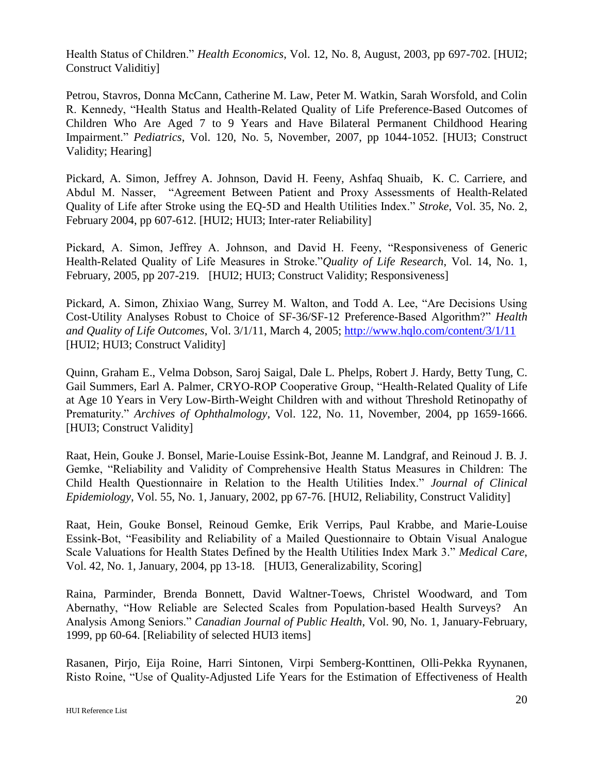Health Status of Children." *Health Economics*, Vol. 12, No. 8, August, 2003, pp 697-702. [HUI2; Construct Validitiy]

Petrou, Stavros, Donna McCann, Catherine M. Law, Peter M. Watkin, Sarah Worsfold, and Colin R. Kennedy, "Health Status and Health-Related Quality of Life Preference-Based Outcomes of Children Who Are Aged 7 to 9 Years and Have Bilateral Permanent Childhood Hearing Impairment." *Pediatrics*, Vol. 120, No. 5, November, 2007, pp 1044-1052. [HUI3; Construct Validity; Hearing]

Pickard, A. Simon, Jeffrey A. Johnson, David H. Feeny, Ashfaq Shuaib, K. C. Carriere, and Abdul M. Nasser, "Agreement Between Patient and Proxy Assessments of Health-Related Quality of Life after Stroke using the EQ-5D and Health Utilities Index." *Stroke*, Vol. 35, No. 2, February 2004, pp 607-612. [HUI2; HUI3; Inter-rater Reliability]

Pickard, A. Simon, Jeffrey A. Johnson, and David H. Feeny, "Responsiveness of Generic Health-Related Quality of Life Measures in Stroke."*Quality of Life Research*, Vol. 14, No. 1, February, 2005, pp 207-219. [HUI2; HUI3; Construct Validity; Responsiveness]

Pickard, A. Simon, Zhixiao Wang, Surrey M. Walton, and Todd A. Lee, "Are Decisions Using Cost-Utility Analyses Robust to Choice of SF-36/SF-12 Preference-Based Algorithm?" *Health and Quality of Life Outcomes*, Vol. 3/1/11, March 4, 2005;<http://www.hqlo.com/content/3/1/11> [HUI2; HUI3; Construct Validity]

Quinn, Graham E., Velma Dobson, Saroj Saigal, Dale L. Phelps, Robert J. Hardy, Betty Tung, C. Gail Summers, Earl A. Palmer, CRYO-ROP Cooperative Group, "Health-Related Quality of Life at Age 10 Years in Very Low-Birth-Weight Children with and without Threshold Retinopathy of Prematurity." *Archives of Ophthalmology*, Vol. 122, No. 11, November, 2004, pp 1659-1666. [HUI3; Construct Validity]

Raat, Hein, Gouke J. Bonsel, Marie-Louise Essink-Bot, Jeanne M. Landgraf, and Reinoud J. B. J. Gemke, "Reliability and Validity of Comprehensive Health Status Measures in Children: The Child Health Questionnaire in Relation to the Health Utilities Index." *Journal of Clinical Epidemiology*, Vol. 55, No. 1, January, 2002, pp 67-76. [HUI2, Reliability, Construct Validity]

Raat, Hein, Gouke Bonsel, Reinoud Gemke, Erik Verrips, Paul Krabbe, and Marie-Louise Essink-Bot, "Feasibility and Reliability of a Mailed Questionnaire to Obtain Visual Analogue Scale Valuations for Health States Defined by the Health Utilities Index Mark 3." *Medical Care*, Vol. 42, No. 1, January, 2004, pp 13-18. [HUI3, Generalizability, Scoring]

Raina, Parminder, Brenda Bonnett, David Waltner-Toews, Christel Woodward, and Tom Abernathy, "How Reliable are Selected Scales from Population-based Health Surveys? An Analysis Among Seniors." *Canadian Journal of Public Health*, Vol. 90, No. 1, January-February, 1999, pp 60-64. [Reliability of selected HUI3 items]

Rasanen, Pirjo, Eija Roine, Harri Sintonen, Virpi Semberg-Konttinen, Olli-Pekka Ryynanen, Risto Roine, "Use of Quality-Adjusted Life Years for the Estimation of Effectiveness of Health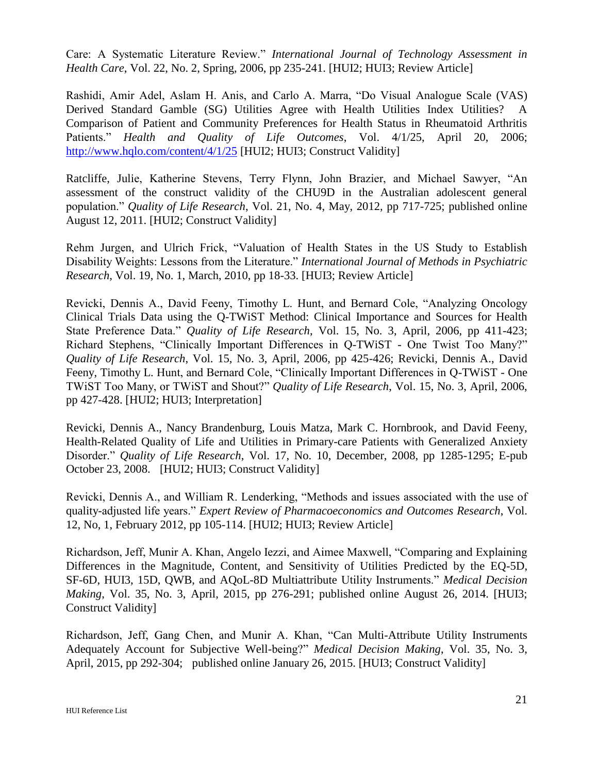Care: A Systematic Literature Review." *International Journal of Technology Assessment in Health Care*, Vol. 22, No. 2, Spring, 2006, pp 235-241. [HUI2; HUI3; Review Article]

Rashidi, Amir Adel, Aslam H. Anis, and Carlo A. Marra, "Do Visual Analogue Scale (VAS) Derived Standard Gamble (SG) Utilities Agree with Health Utilities Index Utilities? A Comparison of Patient and Community Preferences for Health Status in Rheumatoid Arthritis Patients." *Health and Quality of Life Outcomes*, Vol. 4/1/25, April 20, 2006; [http://www.hqlo.com/content/4/1/25](http://www.hqlo.com/content/3/1/11) [HUI2; HUI3; Construct Validity]

Ratcliffe, Julie, Katherine Stevens, Terry Flynn, John Brazier, and Michael Sawyer, "An assessment of the construct validity of the CHU9D in the Australian adolescent general population." *Quality of Life Research*, Vol. 21, No. 4, May, 2012, pp 717-725; published online August 12, 2011. [HUI2; Construct Validity]

Rehm Jurgen, and Ulrich Frick, "Valuation of Health States in the US Study to Establish Disability Weights: Lessons from the Literature." *International Journal of Methods in Psychiatric Research*, Vol. 19, No. 1, March, 2010, pp 18-33. [HUI3; Review Article]

Revicki, Dennis A., David Feeny, Timothy L. Hunt, and Bernard Cole, "Analyzing Oncology Clinical Trials Data using the Q-TWiST Method: Clinical Importance and Sources for Health State Preference Data." *Quality of Life Research*, Vol. 15, No. 3, April, 2006, pp 411-423; Richard Stephens, "Clinically Important Differences in Q-TWiST - One Twist Too Many?" *Quality of Life Research*, Vol. 15, No. 3, April, 2006, pp 425-426; Revicki, Dennis A., David Feeny, Timothy L. Hunt, and Bernard Cole, "Clinically Important Differences in Q-TWiST - One TWiST Too Many, or TWiST and Shout?" *Quality of Life Research*, Vol. 15, No. 3, April, 2006, pp 427-428. [HUI2; HUI3; Interpretation]

Revicki, Dennis A., Nancy Brandenburg, Louis Matza, Mark C. Hornbrook, and David Feeny, Health-Related Quality of Life and Utilities in Primary-care Patients with Generalized Anxiety Disorder." *Quality of Life Research*, Vol. 17, No. 10, December, 2008, pp 1285-1295; E-pub October 23, 2008. [HUI2; HUI3; Construct Validity]

Revicki, Dennis A., and William R. Lenderking, "Methods and issues associated with the use of quality-adjusted life years." *Expert Review of Pharmacoeconomics and Outcomes Research*, Vol. 12, No, 1, February 2012, pp 105-114. [HUI2; HUI3; Review Article]

Richardson, Jeff, Munir A. Khan, Angelo Iezzi, and Aimee Maxwell, "Comparing and Explaining Differences in the Magnitude, Content, and Sensitivity of Utilities Predicted by the EQ-5D, SF-6D, HUI3, 15D, QWB, and AQoL-8D Multiattribute Utility Instruments." *Medical Decision Making*, Vol. 35, No. 3, April, 2015, pp 276-291; published online August 26, 2014. [HUI3; Construct Validity]

Richardson, Jeff, Gang Chen, and Munir A. Khan, "Can Multi-Attribute Utility Instruments Adequately Account for Subjective Well-being?" *Medical Decision Making*, Vol. 35, No. 3, April, 2015, pp 292-304; published online January 26, 2015. [HUI3; Construct Validity]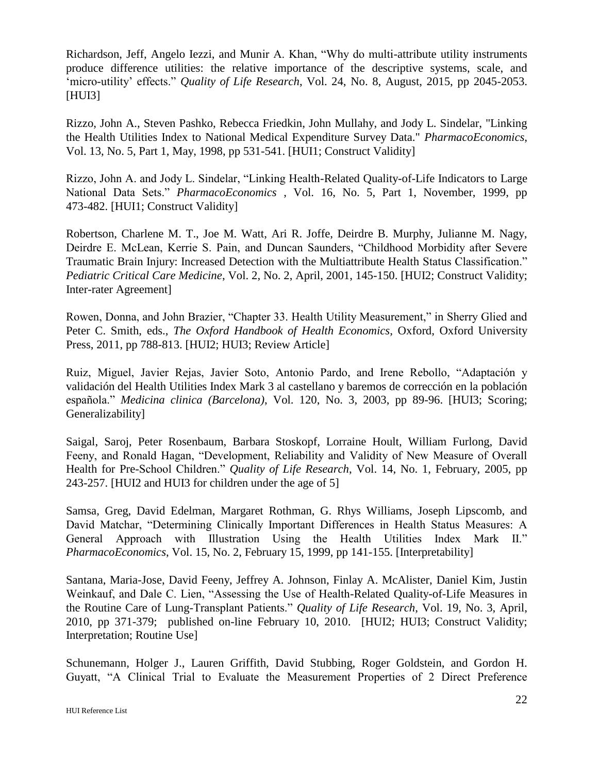Richardson, Jeff, Angelo Iezzi, and Munir A. Khan, "Why do multi-attribute utility instruments produce difference utilities: the relative importance of the descriptive systems, scale, and 'micro-utility' effects." *Quality of Life Research*, Vol. 24, No. 8, August, 2015, pp 2045-2053. [HUI3]

Rizzo, John A., Steven Pashko, Rebecca Friedkin, John Mullahy, and Jody L. Sindelar, "Linking the Health Utilities Index to National Medical Expenditure Survey Data." *PharmacoEconomics*, Vol. 13, No. 5, Part 1, May, 1998, pp 531-541. [HUI1; Construct Validity]

Rizzo, John A. and Jody L. Sindelar, "Linking Health-Related Quality-of-Life Indicators to Large National Data Sets." *PharmacoEconomics* , Vol. 16, No. 5, Part 1, November, 1999, pp 473-482. [HUI1; Construct Validity]

Robertson, Charlene M. T., Joe M. Watt, Ari R. Joffe, Deirdre B. Murphy, Julianne M. Nagy, Deirdre E. McLean, Kerrie S. Pain, and Duncan Saunders, "Childhood Morbidity after Severe Traumatic Brain Injury: Increased Detection with the Multiattribute Health Status Classification." *Pediatric Critical Care Medicine*, Vol. 2, No. 2, April, 2001, 145-150. [HUI2; Construct Validity; Inter-rater Agreement]

Rowen, Donna, and John Brazier, "Chapter 33. Health Utility Measurement," in Sherry Glied and Peter C. Smith, eds., *The Oxford Handbook of Health Economics*, Oxford, Oxford University Press, 2011, pp 788-813. [HUI2; HUI3; Review Article]

Ruiz, Miguel, Javier Rejas, Javier Soto, Antonio Pardo, and Irene Rebollo, "Adaptación y validación del Health Utilities Index Mark 3 al castellano y baremos de corrección en la población española." *Medicina clinica (Barcelona)*, Vol. 120, No. 3, 2003, pp 89-96. [HUI3; Scoring; Generalizability]

Saigal, Saroj, Peter Rosenbaum, Barbara Stoskopf, Lorraine Hoult, William Furlong, David Feeny, and Ronald Hagan, "Development, Reliability and Validity of New Measure of Overall Health for Pre-School Children." *Quality of Life Research*, Vol. 14, No. 1, February, 2005, pp 243-257. [HUI2 and HUI3 for children under the age of 5]

Samsa, Greg, David Edelman, Margaret Rothman, G. Rhys Williams, Joseph Lipscomb, and David Matchar, "Determining Clinically Important Differences in Health Status Measures: A General Approach with Illustration Using the Health Utilities Index Mark II." *PharmacoEconomics*, Vol. 15, No. 2, February 15, 1999, pp 141-155. [Interpretability]

Santana, Maria-Jose, David Feeny, Jeffrey A. Johnson, Finlay A. McAlister, Daniel Kim, Justin Weinkauf, and Dale C. Lien, "Assessing the Use of Health-Related Quality-of-Life Measures in the Routine Care of Lung-Transplant Patients." *Quality of Life Research*, Vol. 19, No. 3, April, 2010, pp 371-379; published on-line February 10, 2010. [HUI2; HUI3; Construct Validity; Interpretation; Routine Use]

Schunemann, Holger J., Lauren Griffith, David Stubbing, Roger Goldstein, and Gordon H. Guyatt, "A Clinical Trial to Evaluate the Measurement Properties of 2 Direct Preference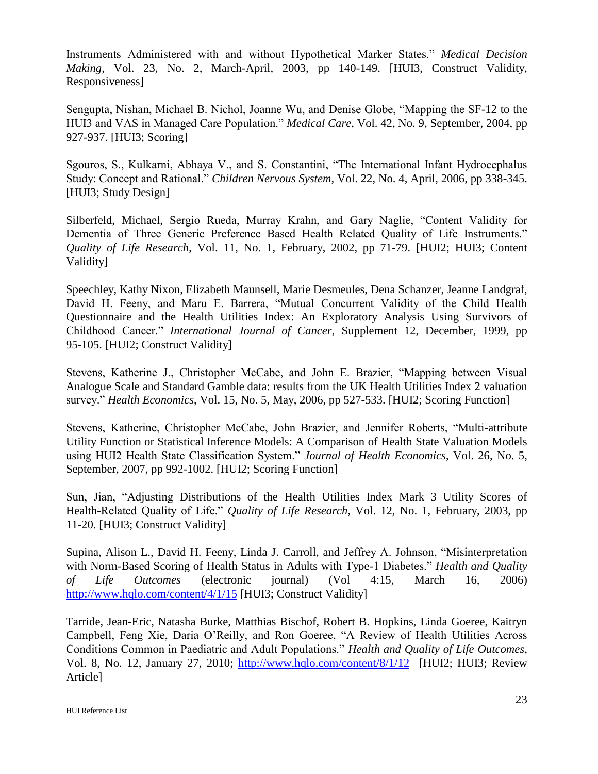Instruments Administered with and without Hypothetical Marker States." *Medical Decision Making*, Vol. 23, No. 2, March-April, 2003, pp 140-149. [HUI3, Construct Validity, Responsiveness]

Sengupta, Nishan, Michael B. Nichol, Joanne Wu, and Denise Globe, "Mapping the SF-12 to the HUI3 and VAS in Managed Care Population." *Medical Care*, Vol. 42, No. 9, September, 2004, pp 927-937. [HUI3; Scoring]

Sgouros, S., Kulkarni, Abhaya V., and S. Constantini, "The International Infant Hydrocephalus Study: Concept and Rational." *Children Nervous System*, Vol. 22, No. 4, April, 2006, pp 338-345. [HUI3; Study Design]

Silberfeld, Michael, Sergio Rueda, Murray Krahn, and Gary Naglie, "Content Validity for Dementia of Three Generic Preference Based Health Related Quality of Life Instruments." *Quality of Life Research*, Vol. 11, No. 1, February, 2002, pp 71-79. [HUI2; HUI3; Content Validity]

Speechley, Kathy Nixon, Elizabeth Maunsell, Marie Desmeules, Dena Schanzer, Jeanne Landgraf, David H. Feeny, and Maru E. Barrera, "Mutual Concurrent Validity of the Child Health Questionnaire and the Health Utilities Index: An Exploratory Analysis Using Survivors of Childhood Cancer." *International Journal of Cancer*, Supplement 12, December, 1999, pp 95-105. [HUI2; Construct Validity]

Stevens, Katherine J., Christopher McCabe, and John E. Brazier, "Mapping between Visual Analogue Scale and Standard Gamble data: results from the UK Health Utilities Index 2 valuation survey." *Health Economics*, Vol. 15, No. 5, May, 2006, pp 527-533. [HUI2; Scoring Function]

Stevens, Katherine, Christopher McCabe, John Brazier, and Jennifer Roberts, "Multi-attribute Utility Function or Statistical Inference Models: A Comparison of Health State Valuation Models using HUI2 Health State Classification System." *Journal of Health Economics*, Vol. 26, No. 5, September, 2007, pp 992-1002. [HUI2; Scoring Function]

Sun, Jian, "Adjusting Distributions of the Health Utilities Index Mark 3 Utility Scores of Health-Related Quality of Life." *Quality of Life Research*, Vol. 12, No. 1, February, 2003, pp 11-20. [HUI3; Construct Validity]

Supina, Alison L., David H. Feeny, Linda J. Carroll, and Jeffrey A. Johnson, "Misinterpretation with Norm-Based Scoring of Health Status in Adults with Type-1 Diabetes." *Health and Quality of Life Outcomes* (electronic journal) (Vol 4:15, March 16, 2006) <http://www.hqlo.com/content/4/1/15> [HUI3; Construct Validity]

Tarride, Jean-Eric, Natasha Burke, Matthias Bischof, Robert B. Hopkins, Linda Goeree, Kaitryn Campbell, Feng Xie, Daria O'Reilly, and Ron Goeree, "A Review of Health Utilities Across Conditions Common in Paediatric and Adult Populations." *Health and Quality of Life Outcomes*, Vol. 8, No. 12, January 27, 2010; <http://www.hqlo.com/content/8/1/12>[HUI2; HUI3; Review Article]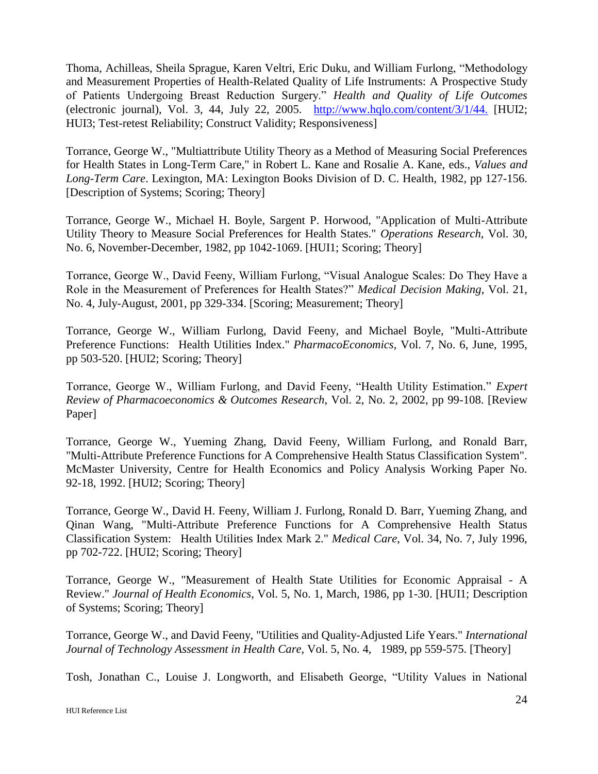Thoma, Achilleas, Sheila Sprague, Karen Veltri, Eric Duku, and William Furlong, "Methodology and Measurement Properties of Health-Related Quality of Life Instruments: A Prospective Study of Patients Undergoing Breast Reduction Surgery." *Health and Quality of Life Outcomes* (electronic journal), Vol. 3, 44, July 22, 2005. <http://www.hqlo.com/content/3/1/44.> [HUI2; HUI3; Test-retest Reliability; Construct Validity; Responsiveness]

Torrance, George W., "Multiattribute Utility Theory as a Method of Measuring Social Preferences for Health States in Long-Term Care," in Robert L. Kane and Rosalie A. Kane, eds., *Values and Long-Term Care*. Lexington, MA: Lexington Books Division of D. C. Health, 1982, pp 127-156. [Description of Systems; Scoring; Theory]

Torrance, George W., Michael H. Boyle, Sargent P. Horwood, "Application of Multi-Attribute Utility Theory to Measure Social Preferences for Health States." *Operations Research*, Vol. 30, No. 6, November-December, 1982, pp 1042-1069. [HUI1; Scoring; Theory]

Torrance, George W., David Feeny, William Furlong, "Visual Analogue Scales: Do They Have a Role in the Measurement of Preferences for Health States?" *Medical Decision Making*, Vol. 21, No. 4, July-August, 2001, pp 329-334. [Scoring; Measurement; Theory]

Torrance, George W., William Furlong, David Feeny, and Michael Boyle, "Multi-Attribute Preference Functions: Health Utilities Index." *PharmacoEconomics*, Vol. 7, No. 6, June, 1995, pp 503-520. [HUI2; Scoring; Theory]

Torrance, George W., William Furlong, and David Feeny, "Health Utility Estimation." *Expert Review of Pharmacoeconomics & Outcomes Research*, Vol. 2, No. 2, 2002, pp 99-108. [Review Paper]

Torrance, George W., Yueming Zhang, David Feeny, William Furlong, and Ronald Barr, "Multi-Attribute Preference Functions for A Comprehensive Health Status Classification System". McMaster University, Centre for Health Economics and Policy Analysis Working Paper No. 92-18, 1992. [HUI2; Scoring; Theory]

Torrance, George W., David H. Feeny, William J. Furlong, Ronald D. Barr, Yueming Zhang, and Qinan Wang, "Multi-Attribute Preference Functions for A Comprehensive Health Status Classification System: Health Utilities Index Mark 2." *Medical Care*, Vol. 34, No. 7, July 1996, pp 702-722. [HUI2; Scoring; Theory]

Torrance, George W., "Measurement of Health State Utilities for Economic Appraisal - A Review." *Journal of Health Economics*, Vol. 5, No. 1, March, 1986, pp 1-30. [HUI1; Description of Systems; Scoring; Theory]

Torrance, George W., and David Feeny, "Utilities and Quality-Adjusted Life Years." *International Journal of Technology Assessment in Health Care,* Vol. 5, No. 4, 1989, pp 559-575. [Theory]

Tosh, Jonathan C., Louise J. Longworth, and Elisabeth George, "Utility Values in National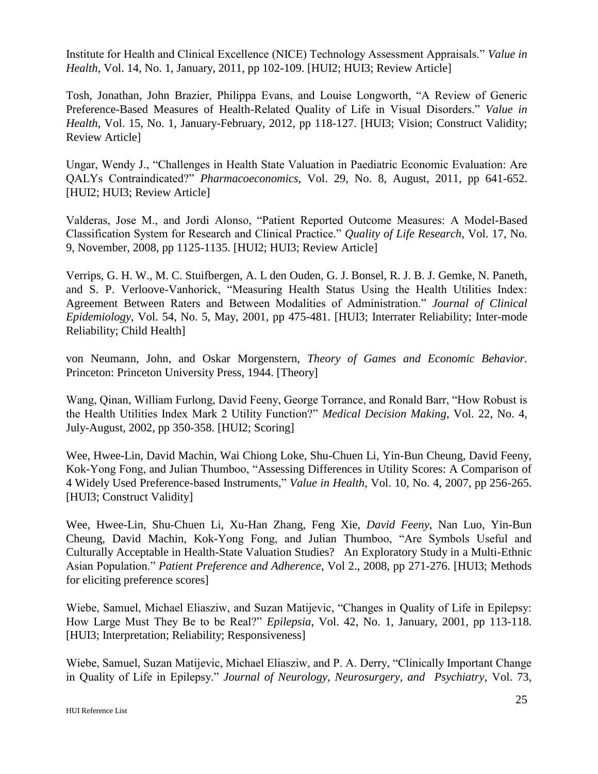Institute for Health and Clinical Excellence (NICE) Technology Assessment Appraisals." *Value in Health*, Vol. 14, No. 1, January, 2011, pp 102-109. [HUI2; HUI3; Review Article]

Tosh, Jonathan, John Brazier, Philippa Evans, and Louise Longworth, "A Review of Generic Preference-Based Measures of Health-Related Quality of Life in Visual Disorders." *Value in Health*, Vol. 15, No. 1, January-February, 2012, pp 118-127. [HUI3; Vision; Construct Validity; Review Article]

Ungar, Wendy J., "Challenges in Health State Valuation in Paediatric Economic Evaluation: Are QALYs Contraindicated?" *Pharmacoeconomics*, Vol. 29, No. 8, August, 2011, pp 641-652. [HUI2; HUI3; Review Article]

Valderas, Jose M., and Jordi Alonso, "Patient Reported Outcome Measures: A Model-Based Classification System for Research and Clinical Practice." *Quality of Life Research*, Vol. 17, No. 9, November, 2008, pp 1125-1135. [HUI2; HUI3; Review Article]

Verrips, G. H. W., M. C. Stuifbergen, A. L den Ouden, G. J. Bonsel, R. J. B. J. Gemke, N. Paneth, and S. P. Verloove-Vanhorick, "Measuring Health Status Using the Health Utilities Index: Agreement Between Raters and Between Modalities of Administration." *Journal of Clinical Epidemiology*, Vol. 54, No. 5, May, 2001, pp 475-481. [HUI3; Interrater Reliability; Inter-mode Reliability; Child Health]

von Neumann, John, and Oskar Morgenstern, *Theory of Games and Economic Behavior*. Princeton: Princeton University Press, 1944. [Theory]

Wang, Qinan, William Furlong, David Feeny, George Torrance, and Ronald Barr, "How Robust is the Health Utilities Index Mark 2 Utility Function?" *Medical Decision Making*, Vol. 22, No. 4, July-August, 2002, pp 350-358. [HUI2; Scoring]

Wee, Hwee-Lin, David Machin, Wai Chiong Loke, Shu-Chuen Li, Yin-Bun Cheung, David Feeny, Kok-Yong Fong, and Julian Thumboo, "Assessing Differences in Utility Scores: A Comparison of 4 Widely Used Preference-based Instruments," *Value in Health*, Vol. 10, No. 4, 2007, pp 256-265. [HUI3; Construct Validity]

Wee, Hwee-Lin, Shu-Chuen Li, Xu-Han Zhang, Feng Xie, *David Feeny*, Nan Luo, Yin-Bun Cheung, David Machin, Kok-Yong Fong, and Julian Thumboo, "Are Symbols Useful and Culturally Acceptable in Health-State Valuation Studies? An Exploratory Study in a Multi-Ethnic Asian Population." *Patient Preference and Adherence*, Vol 2., 2008, pp 271-276. [HUI3; Methods for eliciting preference scores]

Wiebe, Samuel, Michael Eliasziw, and Suzan Matijevic, "Changes in Quality of Life in Epilepsy: How Large Must They Be to be Real?" *Epilepsia*, Vol. 42, No. 1, January, 2001, pp 113-118. [HUI3; Interpretation; Reliability; Responsiveness]

Wiebe, Samuel, Suzan Matijevic, Michael Eliasziw, and P. A. Derry, "Clinically Important Change in Quality of Life in Epilepsy." *Journal of Neurology, Neurosurgery, and Psychiatry*, Vol. 73,